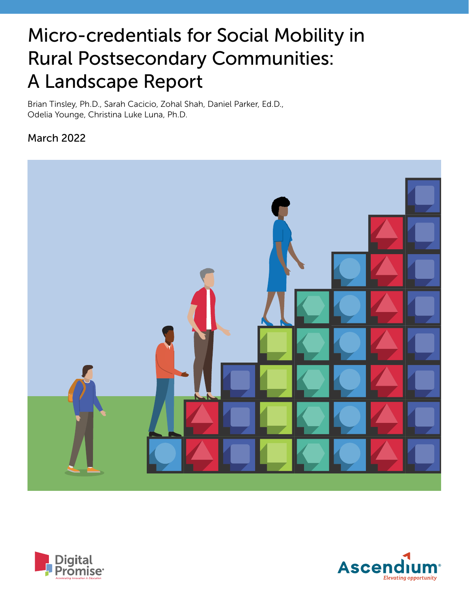# Micro-credentials for Social Mobility in Rural Postsecondary Communities: A Landscape Report

Brian Tinsley, Ph.D., Sarah Cacicio, Zohal Shah, Daniel Parker, Ed.D., Odelia Younge, Christina Luke Luna, Ph.D.

# March 2022





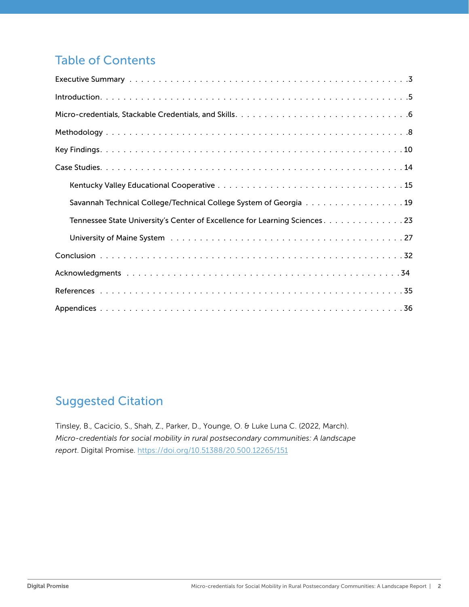# Table of Contents

| Savannah Technical College/Technical College System of Georgia 19          |  |  |  |  |  |
|----------------------------------------------------------------------------|--|--|--|--|--|
| Tennessee State University's Center of Excellence for Learning Sciences 23 |  |  |  |  |  |
|                                                                            |  |  |  |  |  |
|                                                                            |  |  |  |  |  |
|                                                                            |  |  |  |  |  |
|                                                                            |  |  |  |  |  |
|                                                                            |  |  |  |  |  |

# [Suggested Citation](https://doi.org/10.51388/20.500.12265/151)

Tinsley, B., Cacicio, S., Shah, Z., Parker, D., Younge, O. & Luke Luna C. (2022, March). *Micro-credentials for social mobility in rural postsecondary communities: A landscape report*. Digital Promise. https://doi.org/10.51388/20.500.12265/151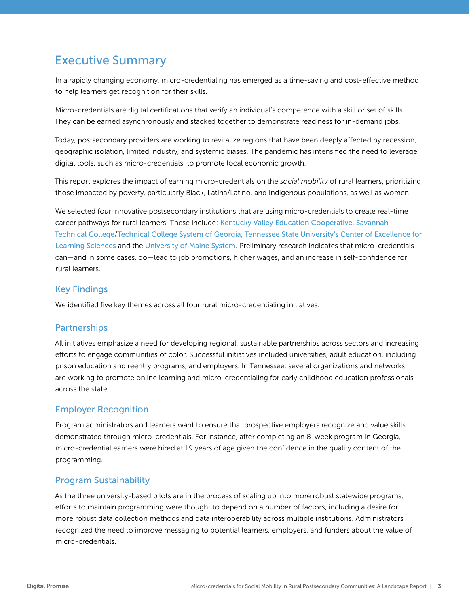# <span id="page-2-0"></span>Executive Summary

In a rapidly changing economy, micro-credentialing has emerged as a time-saving and cost-effective method to help learners get recognition for their skills.

Micro-credentials are digital certifications that verify an individual's competence with a skill or set of skills. They can be earned asynchronously and stacked together to demonstrate readiness for in-demand jobs.

Today, postsecondary providers are working to revitalize regions that have been deeply affected by recession, geographic isolation, limited industry, and systemic biases. The pandemic has intensified the need to leverage digital tools, such as micro-credentials, to promote local economic growth.

This report explores the impact of earning micro-credentials on the *social mobility* of rural learners, prioritizing those impacted by poverty, particularly Black, Latina/Latino, and Indigenous populations, as well as women.

We selected four innovative postsecondary institutions that are using micro-credentials to create real-time career pathways for rural learners. These include: [Kentucky Valley Education Cooperative](https://www.kentuckyvalley.org/), Savannah [Technical College](https://www.savannahtech.edu/)/[Technical College System of Georgia,](https://www.tcsg.edu/) [Tennessee State University's Center of Excellence for](https://www.tnstate.edu/learningsciences/)  [Learning Sciences](https://www.tnstate.edu/learningsciences/) and the [University of Maine System](https://www.maine.edu/student-success/micro-credentials/). Preliminary research indicates that micro-credentials can—and in some cases, do—lead to job promotions, higher wages, and an increase in self-confidence for rural learners.

#### Key Findings

We identified five key themes across all four rural micro-credentialing initiatives.

#### **Partnerships**

All initiatives emphasize a need for developing regional, sustainable partnerships across sectors and increasing efforts to engage communities of color. Successful initiatives included universities, adult education, including prison education and reentry programs, and employers. In Tennessee, several organizations and networks are working to promote online learning and micro-credentialing for early childhood education professionals across the state.

### Employer Recognition

Program administrators and learners want to ensure that prospective employers recognize and value skills demonstrated through micro-credentials. For instance, after completing an 8-week program in Georgia, micro-credential earners were hired at 19 years of age given the confidence in the quality content of the programming.

### Program Sustainability

As the three university-based pilots are in the process of scaling up into more robust statewide programs, efforts to maintain programming were thought to depend on a number of factors, including a desire for more robust data collection methods and data interoperability across multiple institutions. Administrators recognized the need to improve messaging to potential learners, employers, and funders about the value of micro-credentials.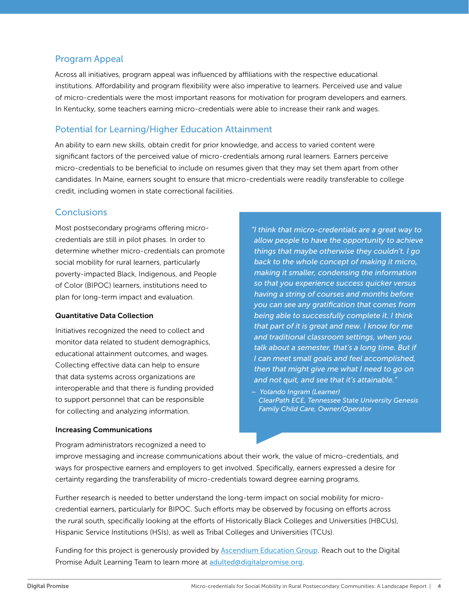### Program Appeal

Across all initiatives, program appeal was influenced by affiliations with the respective educational institutions. Affordability and program flexibility were also imperative to learners. Perceived use and value of micro-credentials were the most important reasons for motivation for program developers and earners. In Kentucky, some teachers earning micro-credentials were able to increase their rank and wages.

### Potential for Learning/Higher Education Attainment

An ability to earn new skills, obtain credit for prior knowledge, and access to varied content were significant factors of the perceived value of micro-credentials among rural learners. Earners perceive micro-credentials to be beneficial to include on resumes given that they may set them apart from other candidates. In Maine, earners sought to ensure that micro-credentials were readily transferable to college credit, including women in state correctional facilities.

#### **Conclusions**

Most postsecondary programs offering microcredentials are still in pilot phases. In order to determine whether micro-credentials can promote social mobility for rural learners, particularly poverty-impacted Black, Indigenous, and People of Color (BIPOC) learners, institutions need to plan for long-term impact and evaluation.

#### Quantitative Data Collection

Initiatives recognized the need to collect and monitor data related to student demographics, educational attainment outcomes, and wages. Collecting effective data can help to ensure that data systems across organizations are interoperable and that there is funding provided to support personnel that can be responsible for collecting and analyzing information.

#### *"I think that micro-credentials are a great way to allow people to have the opportunity to achieve things that maybe otherwise they couldn't. I go back to the whole concept of making it micro, making it smaller, condensing the information so that you experience success quicker versus having a string of courses and months before you can see any gratification that comes from being able to successfully complete it. I think that part of it is great and new. I know for me and traditional classroom settings, when you talk about a semester, that's a long time. But if I can meet small goals and feel accomplished, then that might give me what I need to go on and not quit, and see that it's attainable."*

*– Yolando Ingram (Learner) ClearPath ECE, Tennessee State University Genesis Family Child Care, Owner/Operator*

#### Increasing Communications

Program administrators recognized a need to

improve messaging and increase communications about their work, the value of micro-credentials, and ways for prospective earners and employers to get involved. Specifically, earners expressed a desire for certainty regarding the transferability of micro-credentials toward degree earning programs.

Further research is needed to better understand the long-term impact on social mobility for microcredential earners, particularly for BIPOC. Such efforts may be observed by focusing on efforts across the rural south, specifically looking at the efforts of Historically Black Colleges and Universities (HBCUs), Hispanic Service Institutions (HSIs), as well as Tribal Colleges and Universities (TCUs).

Funding for this project is generously provided by [Ascendium Education Group](https://www.ascendiumphilanthropy.org/). Reach out to the Digital Promise Adult Learning Team to learn more at [adulted@digitalpromise.org](mailto:adulted@digitalpromise.org).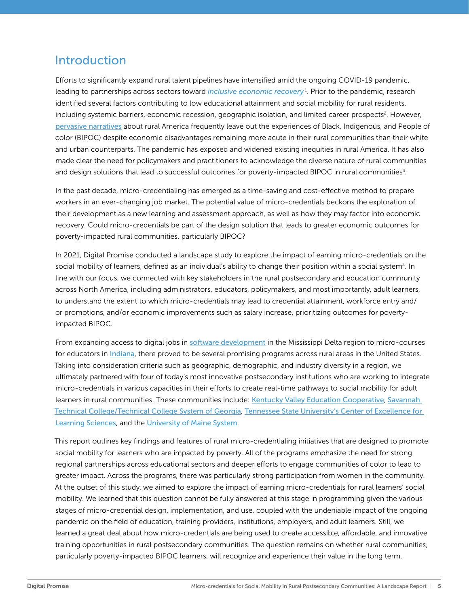# <span id="page-4-0"></span>Introduction

Efforts to significantly expand rural talent pipelines have intensified amid the ongoing COVID-19 pandemic, leading to partnerships across sectors toward *[inclusive economic recovery](https://www.nationalskillscoalition.org/news/blog/skills-for-an-inclusive-economic-recovery-a-call-for-action-equity-and-accountability)* [1](#page-34-0) . Prior to the pandemic, research identified several factors contributing to low educational attainment and social mobility for rural residents, including systemic barriers, economic recession, geographic isolation, and limited career prospects<sup>2</sup>. However, [pervasive narratives](https://www.americanprogress.org/issues/economy/reports/2019/07/17/471877/redefining-rural-america/) about rural America frequently leave out the experiences of Black, Indigenous, and People of color (BIPOC) despite economic disadvantages remaining more acute in their rural communities than their white and urban counterparts. The pandemic has exposed and widened existing inequities in rural America. It has also made clear the need for policymakers and practitioners to acknowledge the diverse nature of rural communities and design solutions that lead to successful outcomes for poverty-impacted BIPOC in rural communities<sup>[3](#page-34-0)</sup>.

In the past decade, micro-credentialing has emerged as a time-saving and cost-effective method to prepare workers in an ever-changing job market. The potential value of micro-credentials beckons the exploration of their development as a new learning and assessment approach, as well as how they may factor into economic recovery. Could micro-credentials be part of the design solution that leads to greater economic outcomes for poverty-impacted rural communities, particularly BIPOC?

In 2021, Digital Promise conducted a landscape study to explore the impact of earning micro-credentials on the social mobility of learners, defined as an individual's ability to change their position within a social system<sup>4</sup>. In line with our focus, we connected with key stakeholders in the rural postsecondary and education community across North America, including administrators, educators, policymakers, and most importantly, adult learners, to understand the extent to which micro-credentials may lead to credential attainment, workforce entry and/ or promotions, and/or economic improvements such as salary increase, prioritizing outcomes for povertyimpacted BIPOC.

From expanding access to digital jobs in [software development](https://www.codefiworks.com/codelabs/) in the Mississippi Delta region to micro-courses for educators in [Indiana](https://www.indwes.edu/adult-graduate/admissions/landing-pages/otl-scholarships/micro-credentials), there proved to be several promising programs across rural areas in the United States. Taking into consideration criteria such as geographic, demographic, and industry diversity in a region, we ultimately partnered with four of today's most innovative postsecondary institutions who are working to integrate micro-credentials in various capacities in their efforts to create real-time pathways to social mobility for adult learners in rural communities. These communities include: [Kentucky Valley Education Cooperative](https://www.kentuckyvalley.org/), [Savannah](https://www.savannahtech.edu/)  [Technical College/](https://www.savannahtech.edu/)[Technical College System of Georgia](https://www.tcsg.edu/), [Tennessee State University's Center of Excellence for](https://www.tnstate.edu/learningsciences/)  [Learning Sciences](https://www.tnstate.edu/learningsciences/), and the [University of Maine System](https://www.maine.edu/student-success/micro-credentials/).

This report outlines key findings and features of rural micro-credentialing initiatives that are designed to promote social mobility for learners who are impacted by poverty. All of the programs emphasize the need for strong regional partnerships across educational sectors and deeper efforts to engage communities of color to lead to greater impact. Across the programs, there was particularly strong participation from women in the community. At the outset of this study, we aimed to explore the impact of earning micro-credentials for rural learners' social mobility. We learned that this question cannot be fully answered at this stage in programming given the various stages of micro-credential design, implementation, and use, coupled with the undeniable impact of the ongoing pandemic on the field of education, training providers, institutions, employers, and adult learners. Still, we learned a great deal about how micro-credentials are being used to create accessible, affordable, and innovative training opportunities in rural postsecondary communities. The question remains on whether rural communities, particularly poverty-impacted BIPOC learners, will recognize and experience their value in the long term.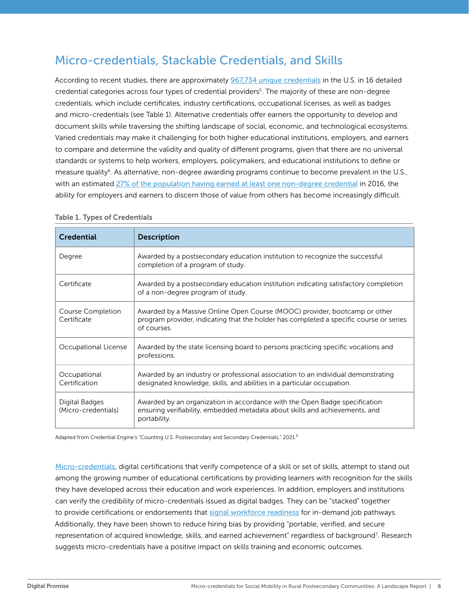# <span id="page-5-0"></span>Micro-credentials, Stackable Credentials, and Skills

According to recent studies, there are approximately [967,734 unique credentials](https://credentialengine.org/wp-content/uploads/2021/02/Counting-Credentials-2021.pdf) in the U.S. in 16 detailed credential categories across four types of credential providers[5](#page-34-0) . The majority of these are non-degree credentials, which include certificates, industry certifications, occupational licenses, as well as badges and micro-credentials (see Table 1). Alternative credentials offer earners the opportunity to develop and document skills while traversing the shifting landscape of social, economic, and technological ecosystems. Varied credentials may make it challenging for both higher educational institutions, employers, and earners to compare and determine the validity and quality of different programs, given that there are no universal standards or systems to help workers, employers, policymakers, and educational institutions to define or measure quality<sup>[6](#page-34-0)</sup>. As alternative, non-degree awarding programs continue to become prevalent in the U.S., with an estimated [27% of the population having earned at least one non-degree credential](https://nces.ed.gov/pubs2017/2017103rev.pdf) in 2016, the ability for employers and earners to discern those of value from others has become increasingly difficult.

| <b>Credential</b>                     | <b>Description</b>                                                                                                                                                                  |
|---------------------------------------|-------------------------------------------------------------------------------------------------------------------------------------------------------------------------------------|
| Degree                                | Awarded by a postsecondary education institution to recognize the successful<br>completion of a program of study.                                                                   |
| Certificate                           | Awarded by a postsecondary education institution indicating satisfactory completion<br>of a non-degree program of study.                                                            |
| Course Completion<br>Certificate      | Awarded by a Massive Online Open Course (MOOC) provider, bootcamp or other<br>program provider, indicating that the holder has completed a specific course or series<br>of courses. |
| Occupational License                  | Awarded by the state licensing board to persons practicing specific vocations and<br>professions.                                                                                   |
| Occupational<br>Certification         | Awarded by an industry or professional association to an individual demonstrating<br>designated knowledge, skills, and abilities in a particular occupation.                        |
| Digital Badges<br>(Micro-credentials) | Awarded by an organization in accordance with the Open Badge specification<br>ensuring verifiability, embedded metadata about skills and achievements, and<br>portability.          |

#### Table 1. Types of Credentials

Adapted from Credential Engine's "Counting U.S. Postsecondary and Secondary Credentials," 2021.<sup>5</sup>

[Micro-credentials](https://ccsso.org/sites/default/files/2020-01/Micro-credentials%20-%20Design%20Principles_FINAL_1.pdf), digital certifications that verify competence of a skill or set of skills, attempt to stand out among the growing number of educational certifications by providing learners with recognition for the skills they have developed across their education and work experiences. In addition, employers and institutions can verify the credibility of micro-credentials issued as digital badges. They can be "stacked" together to provide certifications or endorsements that [signal workforce readiness](https://eddesignlab.org/wp-content/uploads/2020/08/EDL_MicropathwaysExplained.pdf) for in-demand job pathways. Additionally, they have been shown to reduce hiring bias by providing "portable, verified, and secure representation of acquired knowledge, skills, and earned achievement" regardless of background<sup>7</sup>. Research suggests micro-credentials have a positive impact on skills training and economic outcomes.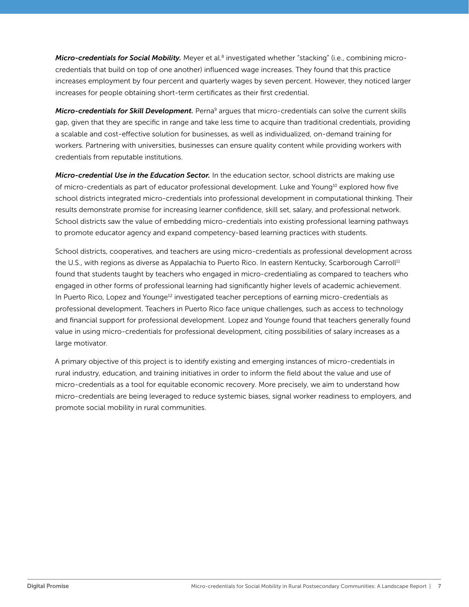<span id="page-6-0"></span>*Micro-credentials for Social Mobility.* Meyer et al[.8](#page-34-0) investigated whether "stacking" (i.e., combining microcredentials that build on top of one another) influenced wage increases. They found that this practice increases employment by four percent and quarterly wages by seven percent. However, they noticed larger increases for people obtaining short-term certificates as their first credential.

*Micro-credentials for Skill Development.* Perna<sup>[9](#page-34-0)</sup> argues that micro-credentials can solve the current skills gap, given that they are specific in range and take less time to acquire than traditional credentials, providing a scalable and cost-effective solution for businesses, as well as individualized, on-demand training for workers. Partnering with universities, businesses can ensure quality content while providing workers with credentials from reputable institutions.

*Micro-credential Use in the Education Sector.* In the education sector, school districts are making use of micro-credentials as part of educator professional development. Luke and Youn[g10](#page-34-0) explored how five school districts integrated micro-credentials into professional development in computational thinking. Their results demonstrate promise for increasing learner confidence, skill set, salary, and professional network. School districts saw the value of embedding micro-credentials into existing professional learning pathways to promote educator agency and expand competency-based learning practices with students.

School districts, cooperatives, and teachers are using micro-credentials as professional development across the U.S., with regions as diverse as Appalachia to Puerto Rico. In eastern Kentucky, Scarborough Carroll<sup>11</sup> found that students taught by teachers who engaged in micro-credentialing as compared to teachers who engaged in other forms of professional learning had significantly higher levels of academic achievement. In Puerto Rico, Lopez and Younge<sup>12</sup> investigated teacher perceptions of earning micro-credentials as professional development. Teachers in Puerto Rico face unique challenges, such as access to technology and financial support for professional development. Lopez and Younge found that teachers generally found value in using micro-credentials for professional development, citing possibilities of salary increases as a large motivator.

A primary objective of this project is to identify existing and emerging instances of micro-credentials in rural industry, education, and training initiatives in order to inform the field about the value and use of micro-credentials as a tool for equitable economic recovery. More precisely, we aim to understand how micro-credentials are being leveraged to reduce systemic biases, signal worker readiness to employers, and promote social mobility in rural communities.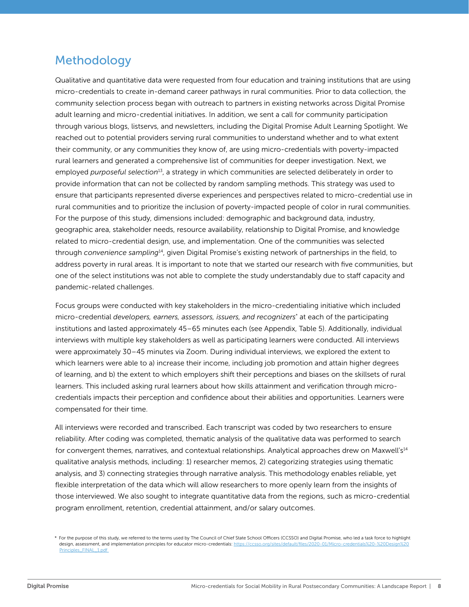# <span id="page-7-0"></span>Methodology

Qualitative and quantitative data were requested from four education and training institutions that are using micro-credentials to create in-demand career pathways in rural communities. Prior to data collection, the community selection process began with outreach to partners in existing networks across Digital Promise adult learning and micro-credential initiatives. In addition, we sent a call for community participation through various blogs, listservs, and newsletters, including the Digital Promise Adult Learning Spotlight. We reached out to potential providers serving rural communities to understand whether and to what extent their community, or any communities they know of, are using micro-credentials with poverty-impacted rural learners and generated a comprehensive list of communities for deeper investigation. Next, we employed *purposeful selection*[13](#page-34-0), a strategy in which communities are selected deliberately in order to provide information that can not be collected by random sampling methods. This strategy was used to ensure that participants represented diverse experiences and perspectives related to micro-credential use in rural communities and to prioritize the inclusion of poverty-impacted people of color in rural communities. For the purpose of this study, dimensions included: demographic and background data, industry, geographic area, stakeholder needs, resource availability, relationship to Digital Promise, and knowledge related to micro-credential design, use, and implementation. One of the communities was selected through *convenience sampling*[14](#page-34-0), given Digital Promise's existing network of partnerships in the field, to address poverty in rural areas. It is important to note that we started our research with five communities, but one of the select institutions was not able to complete the study understandably due to staff capacity and pandemic-related challenges.

Focus groups were conducted with key stakeholders in the micro-credentialing initiative which included micro-credential *developers, earners, assessors, issuers, and recognizers*\* at each of the participating institutions and lasted approximately 45–65 minutes each (see Appendix, Table 5). Additionally, individual interviews with multiple key stakeholders as well as participating learners were conducted. All interviews were approximately 30–45 minutes via Zoom. During individual interviews, we explored the extent to which learners were able to a) increase their income, including job promotion and attain higher degrees of learning, and b) the extent to which employers shift their perceptions and biases on the skillsets of rural learners. This included asking rural learners about how skills attainment and verification through microcredentials impacts their perception and confidence about their abilities and opportunities. Learners were compensated for their time.

All interviews were recorded and transcribed. Each transcript was coded by two researchers to ensure reliability. After coding was completed, thematic analysis of the qualitative data was performed to search for convergent themes, narratives, and contextual relationships. Analytical approaches drew on Maxwell's<sup>14</sup> qualitative analysis methods, including: 1) researcher memos, 2) categorizing strategies using thematic analysis, and 3) connecting strategies through narrative analysis. This methodology enables reliable, yet flexible interpretation of the data which will allow researchers to more openly learn from the insights of those interviewed. We also sought to integrate quantitative data from the regions, such as micro-credential program enrollment, retention, credential attainment, and/or salary outcomes.

<sup>\*</sup> For the purpose of this study, we referred to the terms used by The Council of Chief State School Officers (CCSSO) and Digital Promise, who led a task force to highlight design, assessment, and implementation principles for educator micro-credentials: https://ccsso.org/sites/default/files/2020-01/Micro-credentials%20-[Principles\\_FINAL\\_1.pdf](https://ccsso.org/sites/default/files/2020-01/Micro-credentials%20-%20Design%20Principles_FINAL_1.pdf)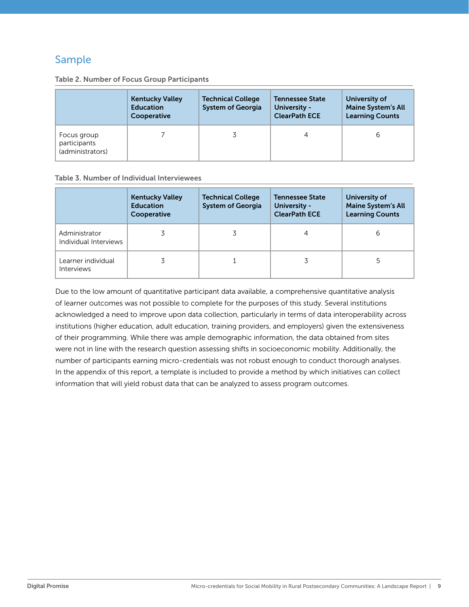# Sample

|                                                 | <b>Kentucky Valley</b><br><b>Education</b><br>Cooperative | <b>Technical College</b><br><b>System of Georgia</b> | <b>Tennessee State</b><br>University -<br><b>ClearPath ECE</b> | University of<br><b>Maine System's All</b><br><b>Learning Counts</b> |
|-------------------------------------------------|-----------------------------------------------------------|------------------------------------------------------|----------------------------------------------------------------|----------------------------------------------------------------------|
| Focus group<br>participants<br>(administrators) |                                                           |                                                      | 4                                                              | 6                                                                    |

#### Table 2. Number of Focus Group Participants

#### Table 3. Number of Individual Interviewees

|                                         | <b>Kentucky Valley</b><br><b>Education</b><br>Cooperative | <b>Technical College</b><br><b>System of Georgia</b> | <b>Tennessee State</b><br>University -<br><b>ClearPath ECE</b> | University of<br><b>Maine System's All</b><br><b>Learning Counts</b> |
|-----------------------------------------|-----------------------------------------------------------|------------------------------------------------------|----------------------------------------------------------------|----------------------------------------------------------------------|
| Administrator<br>Individual Interviews  |                                                           |                                                      |                                                                | 6                                                                    |
| Learner individual<br><b>Interviews</b> |                                                           |                                                      |                                                                |                                                                      |

Due to the low amount of quantitative participant data available, a comprehensive quantitative analysis of learner outcomes was not possible to complete for the purposes of this study. Several institutions acknowledged a need to improve upon data collection, particularly in terms of data interoperability across institutions (higher education, adult education, training providers, and employers) given the extensiveness of their programming. While there was ample demographic information, the data obtained from sites were not in line with the research question assessing shifts in socioeconomic mobility. Additionally, the number of participants earning micro-credentials was not robust enough to conduct thorough analyses. In the appendix of this report, a template is included to provide a method by which initiatives can collect information that will yield robust data that can be analyzed to assess program outcomes.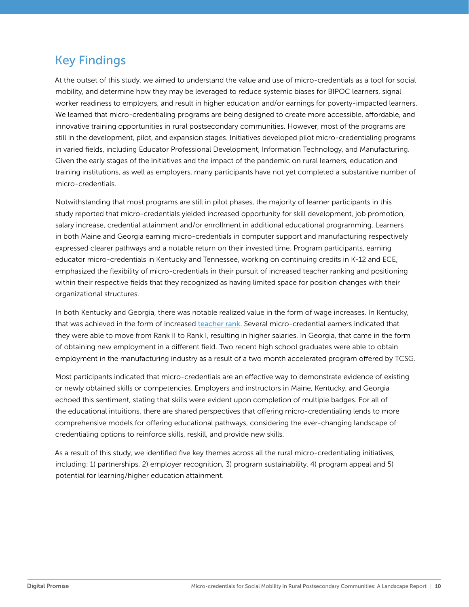# <span id="page-9-0"></span>Key Findings

At the outset of this study, we aimed to understand the value and use of micro-credentials as a tool for social mobility, and determine how they may be leveraged to reduce systemic biases for BIPOC learners, signal worker readiness to employers, and result in higher education and/or earnings for poverty-impacted learners. We learned that micro-credentialing programs are being designed to create more accessible, affordable, and innovative training opportunities in rural postsecondary communities. However, most of the programs are still in the development, pilot, and expansion stages. Initiatives developed pilot micro-credentialing programs in varied fields, including Educator Professional Development, Information Technology, and Manufacturing. Given the early stages of the initiatives and the impact of the pandemic on rural learners, education and training institutions, as well as employers, many participants have not yet completed a substantive number of micro-credentials.

Notwithstanding that most programs are still in pilot phases, the majority of learner participants in this study reported that micro-credentials yielded increased opportunity for skill development, job promotion, salary increase, credential attainment and/or enrollment in additional educational programming. Learners in both Maine and Georgia earning micro-credentials in computer support and manufacturing respectively expressed clearer pathways and a notable return on their invested time. Program participants, earning educator micro-credentials in Kentucky and Tennessee, working on continuing credits in K-12 and ECE, emphasized the flexibility of micro-credentials in their pursuit of increased teacher ranking and positioning within their respective fields that they recognized as having limited space for position changes with their organizational structures.

In both Kentucky and Georgia, there was notable realized value in the form of wage increases. In Kentucky, that was achieved in the form of increased [teacher rank](https://education.ky.gov/edprep/cert/Pages/Rank-System.aspx). Several micro-credential earners indicated that they were able to move from Rank II to Rank I, resulting in higher salaries. In Georgia, that came in the form of obtaining new employment in a different field. Two recent high school graduates were able to obtain employment in the manufacturing industry as a result of a two month accelerated program offered by TCSG.

Most participants indicated that micro-credentials are an effective way to demonstrate evidence of existing or newly obtained skills or competencies. Employers and instructors in Maine, Kentucky, and Georgia echoed this sentiment, stating that skills were evident upon completion of multiple badges. For all of the educational intuitions, there are shared perspectives that offering micro-credentialing lends to more comprehensive models for offering educational pathways, considering the ever-changing landscape of credentialing options to reinforce skills, reskill, and provide new skills.

As a result of this study, we identified five key themes across all the rural micro-credentialing initiatives, including: 1) partnerships, 2) employer recognition, 3) program sustainability, 4) program appeal and 5) potential for learning/higher education attainment.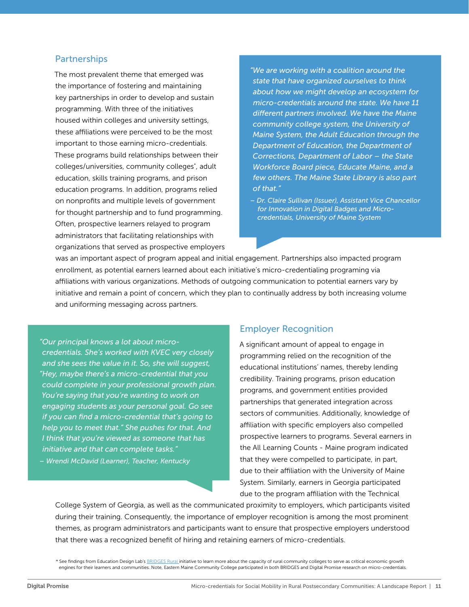#### **Partnerships**

The most prevalent theme that emerged was the importance of fostering and maintaining key partnerships in order to develop and sustain programming. With three of the initiatives housed within colleges and university settings, these affiliations were perceived to be the most important to those earning micro-credentials. These programs build relationships between their colleges/universities, community colleges\* , adult education, skills training programs, and prison education programs. In addition, programs relied on nonprofits and multiple levels of government for thought partnership and to fund programming. Often, prospective learners relayed to program administrators that facilitating relationships with organizations that served as prospective employers *"We are working with a coalition around the state that have organized ourselves to think about how we might develop an ecosystem for micro-credentials around the state. We have 11 different partners involved. We have the Maine community college system, the University of Maine System, the Adult Education through the Department of Education, the Department of Corrections, Department of Labor – the State Workforce Board piece, Educate Maine, and a few others. The Maine State Library is also part of that."*

*– Dr. Claire Sullivan (Issuer), Assistant Vice Chancellor for Innovation in Digital Badges and Microcredentials, University of Maine System* 

was an important aspect of program appeal and initial engagement. Partnerships also impacted program enrollment, as potential earners learned about each initiative's micro-credentialing programing via affiliations with various organizations. Methods of outgoing communication to potential earners vary by initiative and remain a point of concern, which they plan to continually address by both increasing volume and uniforming messaging across partners.

*"Our principal knows a lot about microcredentials. She's worked with KVEC very closely and she sees the value in it. So, she will suggest, "Hey, maybe there's a micro-credential that you could complete in your professional growth plan. You're saying that you're wanting to work on engaging students as your personal goal. Go see if you can find a micro-credential that's going to help you to meet that." She pushes for that. And I think that you're viewed as someone that has initiative and that can complete tasks."*

*– Wrendi McDavid (Learner), Teacher, Kentucky*

#### Employer Recognition

A significant amount of appeal to engage in programming relied on the recognition of the educational institutions' names, thereby lending credibility. Training programs, prison education programs, and government entities provided partnerships that generated integration across sectors of communities. Additionally, knowledge of affiliation with specific employers also compelled prospective learners to programs. Several earners in the All Learning Counts - Maine program indicated that they were compelled to participate, in part, due to their affiliation with the University of Maine System. Similarly, earners in Georgia participated due to the program affiliation with the Technical

College System of Georgia, as well as the communicated proximity to employers, which participants visited during their training. Consequently, the importance of employer recognition is among the most prominent themes, as program administrators and participants want to ensure that prospective employers understood that there was a recognized benefit of hiring and retaining earners of micro-credentials.

\* See findings from Education Design Lab's [BRIDGES Rural](https://eddesignlab.org/project/bridgesrural/) initiative to learn more about the capacity of rural community colleges to serve as critical economic growth engines for their learners and communities. Note, Eastern Maine Community College participated in both BRIDGES and Digital Promise research on micro-credentials.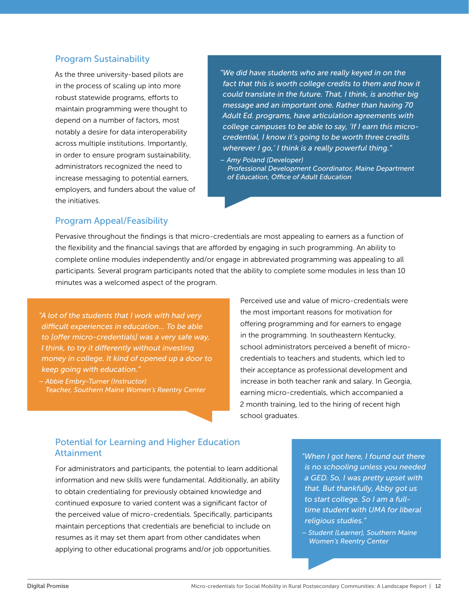#### Program Sustainability

As the three university-based pilots are in the process of scaling up into more robust statewide programs, efforts to maintain programming were thought to depend on a number of factors, most notably a desire for data interoperability across multiple institutions. Importantly, in order to ensure program sustainability, administrators recognized the need to increase messaging to potential earners, employers, and funders about the value of the initiatives.

*"We did have students who are really keyed in on the fact that this is worth college credits to them and how it could translate in the future. That, I think, is another big message and an important one. Rather than having 70 Adult Ed. programs, have articulation agreements with college campuses to be able to say, 'If I earn this microcredential, I know it's going to be worth three credits wherever I go,' I think is a really powerful thing."*

*– Amy Poland (Developer) Professional Development Coordinator, Maine Department of Education, Office of Adult Education*

#### Program Appeal/Feasibility

Pervasive throughout the findings is that micro-credentials are most appealing to earners as a function of the flexibility and the financial savings that are afforded by engaging in such programming. An ability to complete online modules independently and/or engage in abbreviated programming was appealing to all participants. Several program participants noted that the ability to complete some modules in less than 10 minutes was a welcomed aspect of the program.

*"A lot of the students that I work with had very difficult experiences in education... To be able to [offer micro-credentials] was a very safe way, I think, to try it differently without investing money in college. It kind of opened up a door to keep going with education."*

*– Abbie Embry-Turner (Instructor) Teacher, Southern Maine Women's Reentry Center* 

Perceived use and value of micro-credentials were the most important reasons for motivation for offering programming and for earners to engage in the programming. In southeastern Kentucky, school administrators perceived a benefit of microcredentials to teachers and students, which led to their acceptance as professional development and increase in both teacher rank and salary. In Georgia, earning micro-credentials, which accompanied a 2 month training, led to the hiring of recent high school graduates.

#### Potential for Learning and Higher Education Attainment

For administrators and participants, the potential to learn additional information and new skills were fundamental. Additionally, an ability to obtain credentialing for previously obtained knowledge and continued exposure to varied content was a significant factor of the perceived value of micro-credentials. Specifically, participants maintain perceptions that credentials are beneficial to include on resumes as it may set them apart from other candidates when applying to other educational programs and/or job opportunities.

*"When I got here, I found out there is no schooling unless you needed a GED. So, I was pretty upset with that. But thankfully, Abby got us to start college. So I am a fulltime student with UMA for liberal religious studies."*

*– Student (Learner), Southern Maine Women's Reentry Center*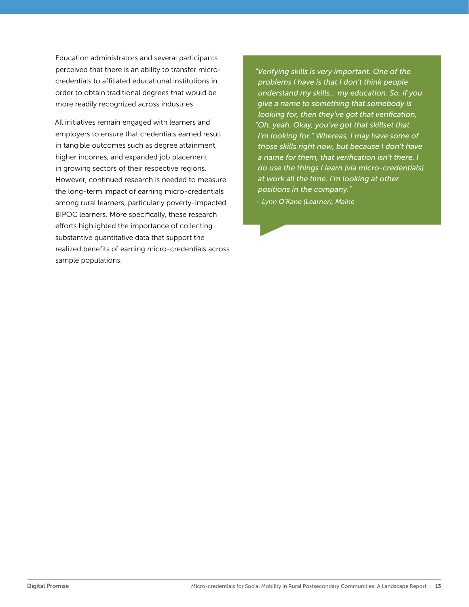Education administrators and several participants perceived that there is an ability to transfer microcredentials to affiliated educational institutions in order to obtain traditional degrees that would be more readily recognized across industries.

All initiatives remain engaged with learners and employers to ensure that credentials earned result in tangible outcomes such as degree attainment, higher incomes, and expanded job placement in growing sectors of their respective regions. However, continued research is needed to measure the long-term impact of earning micro-credentials among rural learners, particularly poverty-impacted BIPOC learners. More specifically, these research efforts highlighted the importance of collecting substantive quantitative data that support the realized benefits of earning micro-credentials across sample populations.

*"Verifying skills is very important. One of the problems I have is that I don't think people understand my skills... my education. So, if you give a name to something that somebody is looking for, then they've got that verification, "Oh, yeah. Okay, you've got that skillset that I'm looking for." Whereas, I may have some of those skills right now, but because I don't have a name for them, that verification isn't there. I do use the things I learn [via micro-credentials] at work all the time. I'm looking at other positions in the company."*

*– Lynn O'Kane (Learner), Maine*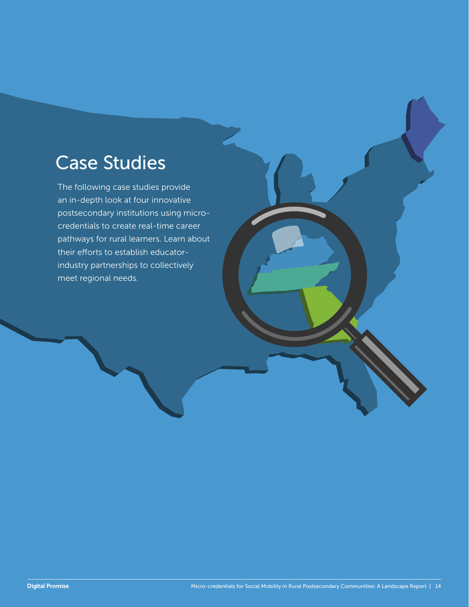# <span id="page-13-0"></span>Case Studies

The following case studies provide an in-depth look at four innovative postsecondary institutions using microcredentials to create real-time career pathways for rural learners. Learn about their efforts to establish educatorindustry partnerships to collectively meet regional needs.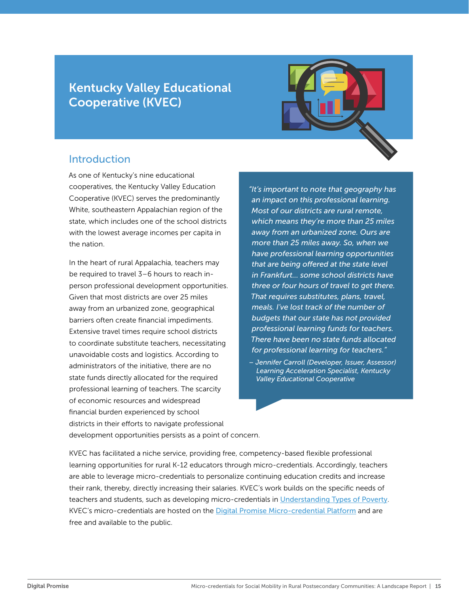# <span id="page-14-0"></span>Kentucky Valley Educational Cooperative (KVEC)



## Introduction

As one of Kentucky's nine educational cooperatives, the Kentucky Valley Education Cooperative (KVEC) serves the predominantly White, southeastern Appalachian region of the state, which includes one of the school districts with the lowest average incomes per capita in the nation.

In the heart of rural Appalachia, teachers may be required to travel 3–6 hours to reach inperson professional development opportunities. Given that most districts are over 25 miles away from an urbanized zone, geographical barriers often create financial impediments. Extensive travel times require school districts to coordinate substitute teachers, necessitating unavoidable costs and logistics. According to administrators of the initiative, there are no state funds directly allocated for the required professional learning of teachers. The scarcity of economic resources and widespread financial burden experienced by school districts in their efforts to navigate professional

*"It's important to note that geography has an impact on this professional learning. Most of our districts are rural remote, which means they're more than 25 miles away from an urbanized zone. Ours are more than 25 miles away. So, when we have professional learning opportunities that are being offered at the state level in Frankfurt… some school districts have three or four hours of travel to get there. That requires substitutes, plans, travel, meals. I've lost track of the number of budgets that our state has not provided professional learning funds for teachers. There have been no state funds allocated for professional learning for teachers."* 

development opportunities persists as a point of concern.

KVEC has facilitated a niche service, providing free, competency-based flexible professional learning opportunities for rural K-12 educators through micro-credentials. Accordingly, teachers are able to leverage micro-credentials to personalize continuing education credits and increase their rank, thereby, directly increasing their salaries. KVEC's work builds on the specific needs of teachers and students, such as developing micro-credentials i[n](https://microcredentials.digitalpromise.org/explore/understanding-types-of-poverty) [Understanding Types of Poverty](https://microcredentials.digitalpromise.org/explore/understanding-types-of-poverty). KVEC's micro-credentials are hosted on the [Digital Promise Micro-credential Platform](https://microcredentials.digitalpromise.org/explore?page_size=24&page=1&organization__name=Kentucky%20Valley%20Educational%20Cooperative) and are free and available to the public.

*<sup>–</sup> Jennifer Carroll (Developer, Issuer, Assessor) Learning Acceleration Specialist, Kentucky Valley Educational Cooperative*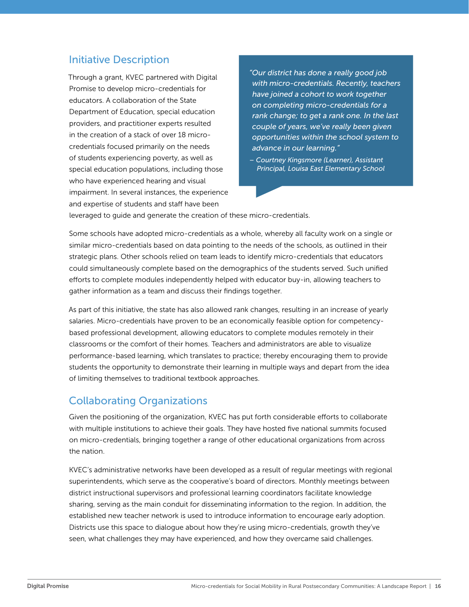# Initiative Description

Through a grant, KVEC partnered with Digital Promise to develop micro-credentials for educators. A collaboration of the State Department of Education, special education providers, and practitioner experts resulted in the creation of a stack of over 18 microcredentials focused primarily on the needs of students experiencing poverty, as well as special education populations, including those who have experienced hearing and visual impairment. In several instances, the experience and expertise of students and staff have been

*"Our district has done a really good job with micro-credentials. Recently, teachers have joined a cohort to work together on completing micro-credentials for a rank change; to get a rank one. In the last couple of years, we've really been given opportunities within the school system to advance in our learning."*

*– Courtney Kingsmore (Learner), Assistant Principal, Louisa East Elementary School* 

leveraged to guide and generate the creation of these micro-credentials.

Some schools have adopted micro-credentials as a whole, whereby all faculty work on a single or similar micro-credentials based on data pointing to the needs of the schools, as outlined in their strategic plans. Other schools relied on team leads to identify micro-credentials that educators could simultaneously complete based on the demographics of the students served. Such unified efforts to complete modules independently helped with educator buy-in, allowing teachers to gather information as a team and discuss their findings together.

As part of this initiative, the state has also allowed rank changes, resulting in an increase of yearly salaries. Micro-credentials have proven to be an economically feasible option for competencybased professional development, allowing educators to complete modules remotely in their classrooms or the comfort of their homes. Teachers and administrators are able to visualize performance-based learning, which translates to practice; thereby encouraging them to provide students the opportunity to demonstrate their learning in multiple ways and depart from the idea of limiting themselves to traditional textbook approaches.

# Collaborating Organizations

Given the positioning of the organization, KVEC has put forth considerable efforts to collaborate with multiple institutions to achieve their goals. They have hosted five national summits focused on micro-credentials, bringing together a range of other educational organizations from across the nation.

KVEC's administrative networks have been developed as a result of regular meetings with regional superintendents, which serve as the cooperative's board of directors. Monthly meetings between district instructional supervisors and professional learning coordinators facilitate knowledge sharing, serving as the main conduit for disseminating information to the region. In addition, the established new teacher network is used to introduce information to encourage early adoption. Districts use this space to dialogue about how they're using micro-credentials, growth they've seen, what challenges they may have experienced, and how they overcame said challenges.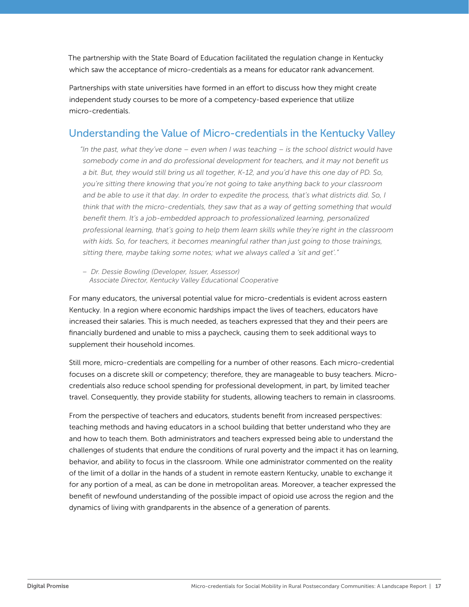The partnership with the State Board of Education facilitated the regulation change in Kentucky which saw the acceptance of micro-credentials as a means for educator rank advancement.

Partnerships with state universities have formed in an effort to discuss how they might create independent study courses to be more of a competency-based experience that utilize micro-credentials.

# Understanding the Value of Micro-credentials in the Kentucky Valley

*"In the past, what they've done – even when I was teaching – is the school district would have somebody come in and do professional development for teachers, and it may not benefit us a bit. But, they would still bring us all together, K-12, and you'd have this one day of PD. So, you're sitting there knowing that you're not going to take anything back to your classroom and be able to use it that day. In order to expedite the process, that's what districts did. So, I think that with the micro-credentials, they saw that as a way of getting something that would benefit them. It's a job-embedded approach to professionalized learning, personalized professional learning, that's going to help them learn skills while they're right in the classroom with kids. So, for teachers, it becomes meaningful rather than just going to those trainings, sitting there, maybe taking some notes; what we always called a 'sit and get'."* 

*– Dr. Dessie Bowling (Developer, Issuer, Assessor) Associate Director, Kentucky Valley Educational Cooperative*

For many educators, the universal potential value for micro-credentials is evident across eastern Kentucky. In a region where economic hardships impact the lives of teachers, educators have increased their salaries. This is much needed, as teachers expressed that they and their peers are financially burdened and unable to miss a paycheck, causing them to seek additional ways to supplement their household incomes.

Still more, micro-credentials are compelling for a number of other reasons. Each micro-credential focuses on a discrete skill or competency; therefore, they are manageable to busy teachers. Microcredentials also reduce school spending for professional development, in part, by limited teacher travel. Consequently, they provide stability for students, allowing teachers to remain in classrooms.

From the perspective of teachers and educators, students benefit from increased perspectives: teaching methods and having educators in a school building that better understand who they are and how to teach them. Both administrators and teachers expressed being able to understand the challenges of students that endure the conditions of rural poverty and the impact it has on learning, behavior, and ability to focus in the classroom. While one administrator commented on the reality of the limit of a dollar in the hands of a student in remote eastern Kentucky, unable to exchange it for any portion of a meal, as can be done in metropolitan areas. Moreover, a teacher expressed the benefit of newfound understanding of the possible impact of opioid use across the region and the dynamics of living with grandparents in the absence of a generation of parents.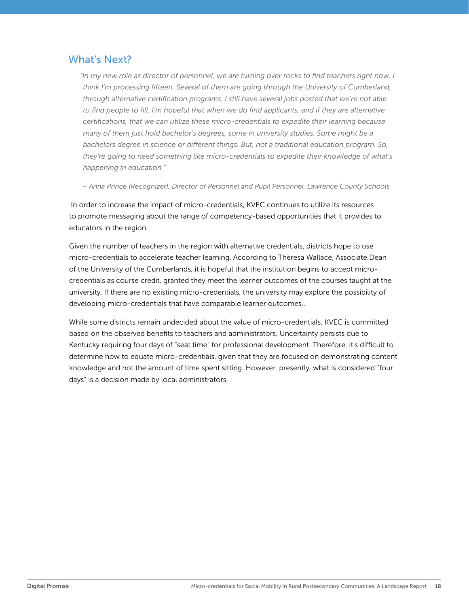# What's Next?

*"In my new role as director of personnel, we are turning over rocks to find teachers right now. I think I'm processing fifteen. Several of them are going through the University of Cumberland, through alternative certification programs. I still have several jobs posted that we're not able*  to find people to fill. I'm hopeful that when we do find applicants, and if they are alternative *certifications, that we can utilize these micro-credentials to expedite their learning because many of them just hold bachelor's degrees, some in university studies. Some might be a bachelors degree in science or different things. But, not a traditional education program. So, they're going to need something like micro-credentials to expedite their knowledge of what's happening in education."* 

*– Anna Prince (Recognizer), Director of Personnel and Pupil Personnel, Lawrence County Schools*

 In order to increase the impact of micro-credentials, KVEC continues to utilize its resources to promote messaging about the range of competency-based opportunities that it provides to educators in the region.

Given the number of teachers in the region with alternative credentials, districts hope to use micro-credentials to accelerate teacher learning. According to Theresa Wallace, Associate Dean of the University of the Cumberlands, it is hopeful that the institution begins to accept microcredentials as course credit, granted they meet the learner outcomes of the courses taught at the university. If there are no existing micro-credentials, the university may explore the possibility of developing micro-credentials that have comparable learner outcomes..

While some districts remain undecided about the value of micro-credentials, KVEC is committed based on the observed benefits to teachers and administrators. Uncertainty persists due to Kentucky requiring four days of "seat time" for professional development. Therefore, it's difficult to determine how to equate micro-credentials, given that they are focused on demonstrating content knowledge and not the amount of time spent sitting. However, presently, what is considered "four days" is a decision made by local administrators.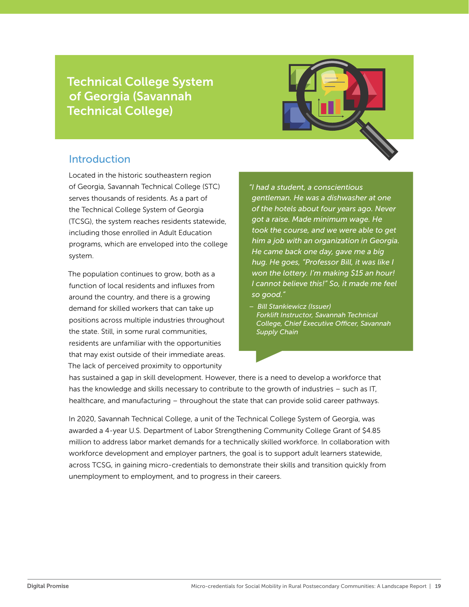<span id="page-18-0"></span>Technical College System of Georgia (Savannah Technical College)



### **Introduction**

Located in the historic southeastern region of Georgia, Savannah Technical College (STC) serves thousands of residents. As a part of the Technical College System of Georgia (TCSG), the system reaches residents statewide, including those enrolled in Adult Education programs, which are enveloped into the college system.

The population continues to grow, both as a function of local residents and influxes from around the country, and there is a growing demand for skilled workers that can take up positions across multiple industries throughout the state. Still, in some rural communities, residents are unfamiliar with the opportunities that may exist outside of their immediate areas. The lack of perceived proximity to opportunity

*"I had a student, a conscientious gentleman. He was a dishwasher at one of the hotels about four years ago. Never got a raise. Made minimum wage. He took the course, and we were able to get him a job with an organization in Georgia. He came back one day, gave me a big hug. He goes, "Professor Bill, it was like I won the lottery. I'm making \$15 an hour! I cannot believe this!" So, it made me feel so good."*

*– Bill Stankiewicz (Issuer) Forklift Instructor, Savannah Technical College, Chief Executive Officer, Savannah Supply Chain*

has sustained a gap in skill development. However, there is a need to develop a workforce that has the knowledge and skills necessary to contribute to the growth of industries – such as IT, healthcare, and manufacturing – throughout the state that can provide solid career pathways.

In 2020, Savannah Technical College, a unit of the Technical College System of Georgia, was awarded a 4-year U.S. Department of Labor Strengthening Community College Grant of \$4.85 million to address labor market demands for a technically skilled workforce. In collaboration with workforce development and employer partners, the goal is to support adult learners statewide, across TCSG, in gaining micro-credentials to demonstrate their skills and transition quickly from unemployment to employment, and to progress in their careers.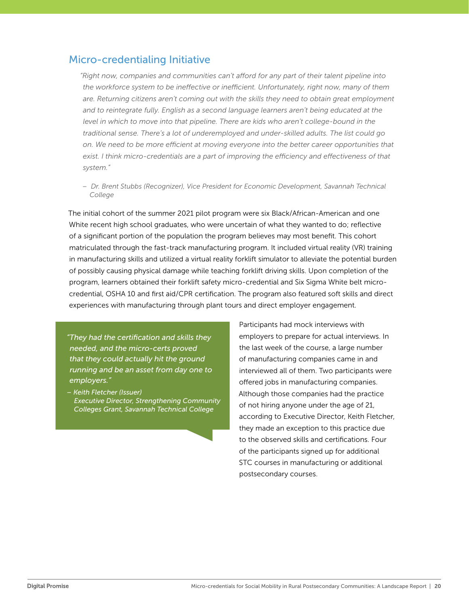### Micro-credentialing Initiative

*"Right now, companies and communities can't afford for any part of their talent pipeline into the workforce system to be ineffective or inefficient. Unfortunately, right now, many of them are. Returning citizens aren't coming out with the skills they need to obtain great employment and to reintegrate fully. English as a second language learners aren't being educated at the*  level in which to move into that pipeline. There are kids who aren't college-bound in the *traditional sense. There's a lot of underemployed and under-skilled adults. The list could go on. We need to be more efficient at moving everyone into the better career opportunities that exist. I think micro-credentials are a part of improving the efficiency and effectiveness of that system."*

*– Dr. Brent Stubbs (Recognizer), Vice President for Economic Development, Savannah Technical College*

The initial cohort of the summer 2021 pilot program were six Black/African-American and one White recent high school graduates, who were uncertain of what they wanted to do; reflective of a significant portion of the population the program believes may most benefit. This cohort matriculated through the fast-track manufacturing program. It included virtual reality (VR) training in manufacturing skills and utilized a virtual reality forklift simulator to alleviate the potential burden of possibly causing physical damage while teaching forklift driving skills. Upon completion of the program, learners obtained their forklift safety micro-credential and Six Sigma White belt microcredential, OSHA 10 and first aid/CPR certification. The program also featured soft skills and direct experiences with manufacturing through plant tours and direct employer engagement.

*"They had the certification and skills they needed, and the micro-certs proved that they could actually hit the ground running and be an asset from day one to employers."*

*– Keith Fletcher (Issuer) Executive Director, Strengthening Community Colleges Grant, Savannah Technical College*

Participants had mock interviews with employers to prepare for actual interviews. In the last week of the course, a large number of manufacturing companies came in and interviewed all of them. Two participants were offered jobs in manufacturing companies. Although those companies had the practice of not hiring anyone under the age of 21, according to Executive Director, Keith Fletcher, they made an exception to this practice due to the observed skills and certifications. Four of the participants signed up for additional STC courses in manufacturing or additional postsecondary courses.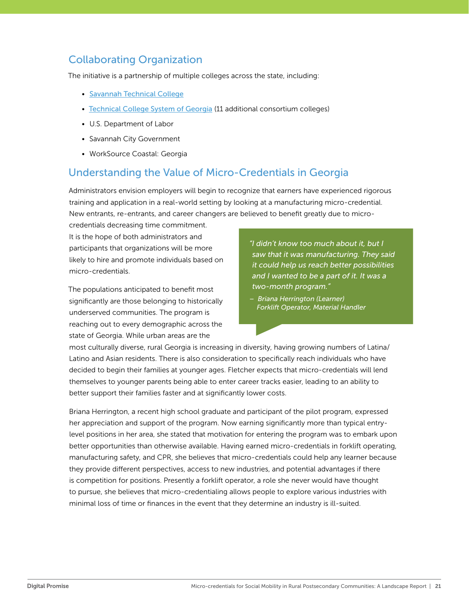# Collaborating Organization

The initiative is a partnership of multiple colleges across the state, including:

- [Savannah Technical College](https://www.savannahtech.edu/)
- [Technical College System of Georgia](https://www.tcsg.edu/) (11 additional consortium colleges)
- U.S. Department of Labor
- Savannah City Government
- WorkSource Coastal: Georgia

# Understanding the Value of Micro-Credentials in Georgia

Administrators envision employers will begin to recognize that earners have experienced rigorous training and application in a real-world setting by looking at a manufacturing micro-credential. New entrants, re-entrants, and career changers are believed to benefit greatly due to micro-

credentials decreasing time commitment. It is the hope of both administrators and participants that organizations will be more likely to hire and promote individuals based on micro-credentials.

The populations anticipated to benefit most significantly are those belonging to historically underserved communities. The program is reaching out to every demographic across the state of Georgia. While urban areas are the

*"I didn't know too much about it, but I saw that it was manufacturing. They said it could help us reach better possibilities and I wanted to be a part of it. It was a two-month program."*

*– Briana Herrington (Learner) Forklift Operator, Material Handler*

most culturally diverse, rural Georgia is increasing in diversity, having growing numbers of Latina/ Latino and Asian residents. There is also consideration to specifically reach individuals who have decided to begin their families at younger ages. Fletcher expects that micro-credentials will lend themselves to younger parents being able to enter career tracks easier, leading to an ability to better support their families faster and at significantly lower costs.

Briana Herrington, a recent high school graduate and participant of the pilot program, expressed her appreciation and support of the program. Now earning significantly more than typical entrylevel positions in her area, she stated that motivation for entering the program was to embark upon better opportunities than otherwise available. Having earned micro-credentials in forklift operating, manufacturing safety, and CPR, she believes that micro-credentials could help any learner because they provide different perspectives, access to new industries, and potential advantages if there is competition for positions. Presently a forklift operator, a role she never would have thought to pursue, she believes that micro-credentialing allows people to explore various industries with minimal loss of time or finances in the event that they determine an industry is ill-suited.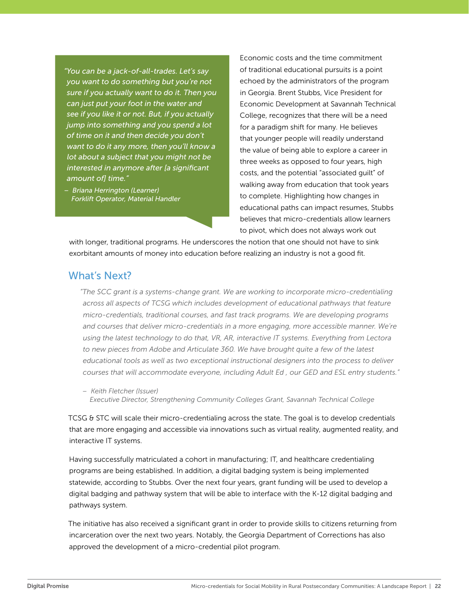*"You can be a jack-of-all-trades. Let's say you want to do something but you're not sure if you actually want to do it. Then you can just put your foot in the water and see if you like it or not. But, if you actually jump into something and you spend a lot of time on it and then decide you don't want to do it any more, then you'll know a lot about a subject that you might not be interested in anymore after [a significant amount of] time."*

*– Briana Herrington (Learner) Forklift Operator, Material Handler* Economic costs and the time commitment of traditional educational pursuits is a point echoed by the administrators of the program in Georgia. Brent Stubbs, Vice President for Economic Development at Savannah Technical College, recognizes that there will be a need for a paradigm shift for many. He believes that younger people will readily understand the value of being able to explore a career in three weeks as opposed to four years, high costs, and the potential "associated guilt" of walking away from education that took years to complete. Highlighting how changes in educational paths can impact resumes, Stubbs believes that micro-credentials allow learners to pivot, which does not always work out

with longer, traditional programs. He underscores the notion that one should not have to sink exorbitant amounts of money into education before realizing an industry is not a good fit.

## What's Next?

*"The SCC grant is a systems-change grant. We are working to incorporate micro-credentialing*  across all aspects of TCSG which includes development of educational pathways that feature *micro-credentials, traditional courses, and fast track programs. We are developing programs and courses that deliver micro-credentials in a more engaging, more accessible manner. We're using the latest technology to do that, VR, AR, interactive IT systems. Everything from Lectora to new pieces from Adobe and Articulate 360. We have brought quite a few of the latest educational tools as well as two exceptional instructional designers into the process to deliver courses that will accommodate everyone, including Adult Ed , our GED and ESL entry students."*

*– Keith Fletcher (Issuer) Executive Director, Strengthening Community Colleges Grant, Savannah Technical College*

TCSG & STC will scale their micro-credentialing across the state. The goal is to develop credentials that are more engaging and accessible via innovations such as virtual reality, augmented reality, and interactive IT systems.

Having successfully matriculated a cohort in manufacturing; IT, and healthcare credentialing programs are being established. In addition, a digital badging system is being implemented statewide, according to Stubbs. Over the next four years, grant funding will be used to develop a digital badging and pathway system that will be able to interface with the K-12 digital badging and pathways system.

The initiative has also received a significant grant in order to provide skills to citizens returning from incarceration over the next two years. Notably, the Georgia Department of Corrections has also approved the development of a micro-credential pilot program.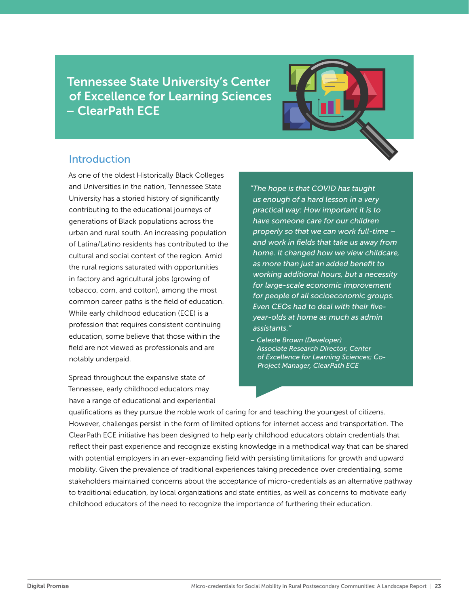<span id="page-22-0"></span>Tennessee State University's Center of Excellence for Learning Sciences – ClearPath ECE



# Introduction

As one of the oldest Historically Black Colleges and Universities in the nation, Tennessee State University has a storied history of significantly contributing to the educational journeys of generations of Black populations across the urban and rural south. An increasing population of Latina/Latino residents has contributed to the cultural and social context of the region. Amid the rural regions saturated with opportunities in factory and agricultural jobs (growing of tobacco, corn, and cotton), among the most common career paths is the field of education. While early childhood education (ECE) is a profession that requires consistent continuing education, some believe that those within the field are not viewed as professionals and are notably underpaid.

Spread throughout the expansive state of Tennessee, early childhood educators may have a range of educational and experiential *"The hope is that COVID has taught us enough of a hard lesson in a very practical way: How important it is to have someone care for our children properly so that we can work full-time – and work in fields that take us away from home. It changed how we view childcare, as more than just an added benefit to working additional hours, but a necessity for large-scale economic improvement for people of all socioeconomic groups. Even CEOs had to deal with their fiveyear-olds at home as much as admin assistants."*

*– Celeste Brown (Developer) Associate Research Director, Center of Excellence for Learning Sciences; Co-Project Manager, ClearPath ECE*

qualifications as they pursue the noble work of caring for and teaching the youngest of citizens. However, challenges persist in the form of limited options for internet access and transportation. The ClearPath ECE initiative has been designed to help early childhood educators obtain credentials that reflect their past experience and recognize existing knowledge in a methodical way that can be shared with potential employers in an ever-expanding field with persisting limitations for growth and upward mobility. Given the prevalence of traditional experiences taking precedence over credentialing, some stakeholders maintained concerns about the acceptance of micro-credentials as an alternative pathway to traditional education, by local organizations and state entities, as well as concerns to motivate early childhood educators of the need to recognize the importance of furthering their education.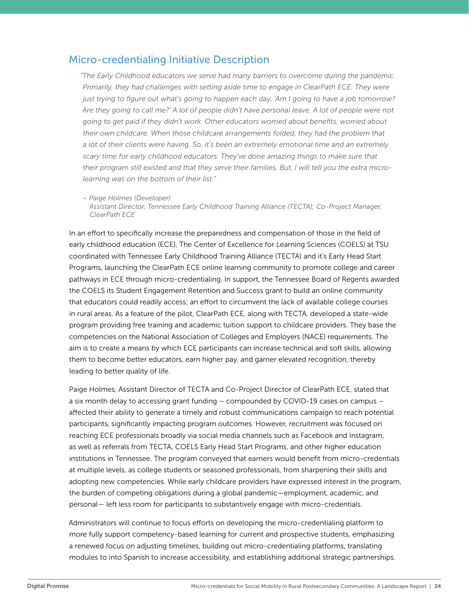# Micro-credentialing Initiative Description

*"The Early Childhood educators we serve had many barriers to overcome during the pandemic. Primarily, they had challenges with setting aside time to engage in ClearPath ECE. They were just trying to figure out what's going to happen each day, 'Am I going to have a job tomorrow? Are they going to call me?' A lot of people didn't have personal leave. A lot of people were not going to get paid if they didn't work. Other educators worried about benefits, worried about their own childcare. When those childcare arrangements folded, they had the problem that a lot of their clients were having. So, it's been an extremely emotional time and an extremely scary time for early childhood educators. They've done amazing things to make sure that their program still existed and that they serve their families. But, I will tell you the extra microlearning was on the bottom of their list."*

*– Paige Holmes (Developer)*

*Assistant Director, Tennessee Early Childhood Training Alliance (TECTA); Co-Project Manager, ClearPath ECE* 

In an effort to specifically increase the preparedness and compensation of those in the field of early childhood education (ECE), The Center of Excellence for Learning Sciences (COELS) at TSU coordinated with Tennessee Early Childhood Training Alliance (TECTA) and it's Early Head Start Programs, launching the ClearPath ECE online learning community to promote college and career pathways in ECE through micro-credentialing. In support, the Tennessee Board of Regents awarded the COELS its Student Engagement Retention and Success grant to build an online community that educators could readily access; an effort to circumvent the lack of available college courses in rural areas. As a feature of the pilot, ClearPath ECE, along with TECTA, developed a state-wide program providing free training and academic tuition support to childcare providers. They base the competencies on the National Association of Colleges and Employers (NACE) requirements. The aim is to create a means by which ECE participants can increase technical and soft skills, allowing them to become better educators, earn higher pay, and garner elevated recognition, thereby leading to better quality of life.

Paige Holmes, Assistant Director of TECTA and Co-Project Director of ClearPath ECE, stated that a six month delay to accessing grant funding – compounded by COVID-19 cases on campus – affected their ability to generate a timely and robust communications campaign to reach potential participants, significantly impacting program outcomes. However, recruitment was focused on reaching ECE professionals broadly via social media channels such as Facebook and Instagram, as well as referrals from TECTA, COELS Early Head Start Programs, and other higher education institutions in Tennessee. The program conveyed that earners would benefit from micro-credentials at multiple levels, as college students or seasoned professionals, from sharpening their skills and adopting new competencies. While early childcare providers have expressed interest in the program, the burden of competing obligations during a global pandemic—employment, academic, and personal— left less room for participants to substantively engage with micro-credentials.

Administrators will continue to focus efforts on developing the micro-credentialing platform to more fully support competency-based learning for current and prospective students, emphasizing a renewed focus on adjusting timelines, building out micro-credentialing platforms, translating modules to into Spanish to increase accessibility, and establishing additional strategic partnerships.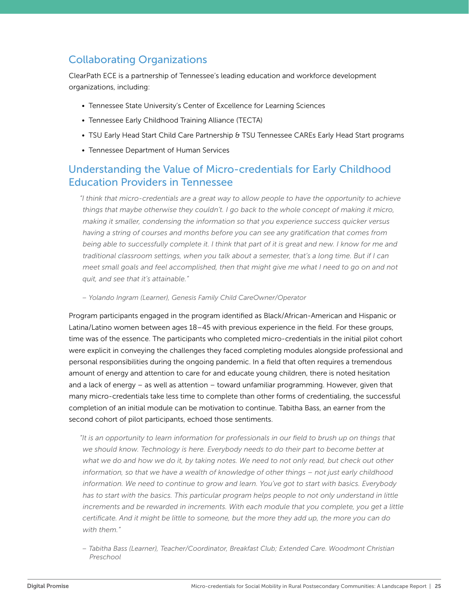# Collaborating Organizations

ClearPath ECE is a partnership of Tennessee's leading education and workforce development organizations, including:

- Tennessee State University's Center of Excellence for Learning Sciences
- Tennessee Early Childhood Training Alliance (TECTA)
- TSU Early Head Start Child Care Partnership & TSU Tennessee CAREs Early Head Start programs
- Tennessee Department of Human Services

# Understanding the Value of Micro-credentials for Early Childhood Education Providers in Tennessee

*"I think that micro-credentials are a great way to allow people to have the opportunity to achieve things that maybe otherwise they couldn't. I go back to the whole concept of making it micro, making it smaller, condensing the information so that you experience success quicker versus having a string of courses and months before you can see any gratification that comes from being able to successfully complete it. I think that part of it is great and new. I know for me and traditional classroom settings, when you talk about a semester, that's a long time. But if I can meet small goals and feel accomplished, then that might give me what I need to go on and not quit, and see that it's attainable."*

*– Yolando Ingram (Learner), Genesis Family Child CareOwner/Operator*

Program participants engaged in the program identified as Black/African-American and Hispanic or Latina/Latino women between ages 18–45 with previous experience in the field. For these groups, time was of the essence. The participants who completed micro-credentials in the initial pilot cohort were explicit in conveying the challenges they faced completing modules alongside professional and personal responsibilities during the ongoing pandemic. In a field that often requires a tremendous amount of energy and attention to care for and educate young children, there is noted hesitation and a lack of energy – as well as attention – toward unfamiliar programming. However, given that many micro-credentials take less time to complete than other forms of credentialing, the successful completion of an initial module can be motivation to continue. Tabitha Bass, an earner from the second cohort of pilot participants, echoed those sentiments.

*"It is an opportunity to learn information for professionals in our field to brush up on things that we should know. Technology is here. Everybody needs to do their part to become better at*  what we do and how we do it, by taking notes. We need to not only read, but check out other *information, so that we have a wealth of knowledge of other things – not just early childhood information. We need to continue to grow and learn. You've got to start with basics. Everybody has to start with the basics. This particular program helps people to not only understand in little increments and be rewarded in increments. With each module that you complete, you get a little certificate. And it might be little to someone, but the more they add up, the more you can do with them."*

*– Tabitha Bass (Learner), Teacher/Coordinator, Breakfast Club; Extended Care. Woodmont Christian Preschool*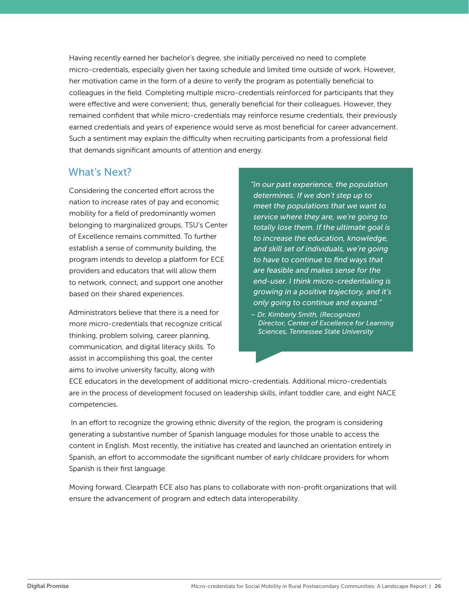Having recently earned her bachelor's degree, she initially perceived no need to complete micro-credentials, especially given her taxing schedule and limited time outside of work. However, her motivation came in the form of a desire to verify the program as potentially beneficial to colleagues in the field. Completing multiple micro-credentials reinforced for participants that they were effective and were convenient; thus, generally beneficial for their colleagues. However, they remained confident that while micro-credentials may reinforce resume credentials, their previously earned credentials and years of experience would serve as most beneficial for career advancement. Such a sentiment may explain the difficulty when recruiting participants from a professional field that demands significant amounts of attention and energy.

# What's Next?

Considering the concerted effort across the nation to increase rates of pay and economic mobility for a field of predominantly women belonging to marginalized groups, TSU's Center of Excellence remains committed. To further establish a sense of community building, the program intends to develop a platform for ECE providers and educators that will allow them to network, connect, and support one another based on their shared experiences.

Administrators believe that there is a need for more micro-credentials that recognize critical thinking, problem solving, career planning, communication, and digital literacy skills. To assist in accomplishing this goal, the center aims to involve university faculty, along with

*"In our past experience, the population determines. If we don't step up to meet the populations that we want to service where they are, we're going to totally lose them. If the ultimate goal is to increase the education, knowledge, and skill set of individuals, we're going to have to continue to find ways that are feasible and makes sense for the end-user. I think micro-credentialing is growing in a positive trajectory, and it's only going to continue and expand."*

*– Dr. Kimberly Smith, (Recognizer) Director, Center of Excellence for Learning Sciences, Tennessee State University*

ECE educators in the development of additional micro-credentials. Additional micro-credentials are in the process of development focused on leadership skills, infant toddler care, and eight NACE competencies.

 In an effort to recognize the growing ethnic diversity of the region, the program is considering generating a substantive number of Spanish language modules for those unable to access the content in English. Most recently, the initiative has created and launched an orientation entirely in Spanish, an effort to accommodate the significant number of early childcare providers for whom Spanish is their first language.

Moving forward, Clearpath ECE also has plans to collaborate with non-profit organizations that will ensure the advancement of program and edtech data interoperability.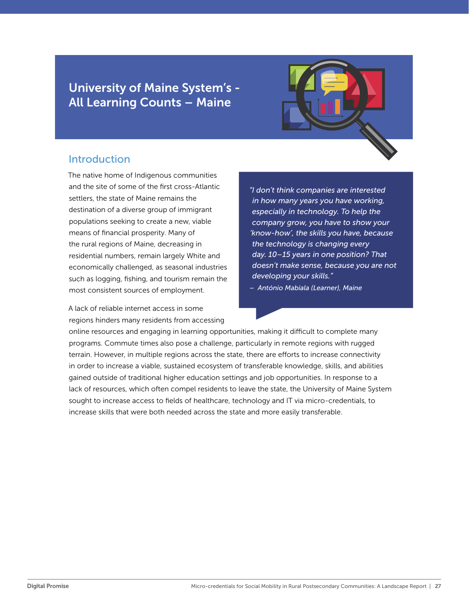# <span id="page-26-0"></span>University of Maine System's - All Learning Counts – Maine



## **Introduction**

The native home of Indigenous communities and the site of some of the first cross-Atlantic settlers, the state of Maine remains the destination of a diverse group of immigrant populations seeking to create a new, viable means of financial prosperity. Many of the rural regions of Maine, decreasing in residential numbers, remain largely White and economically challenged, as seasonal industries such as logging, fishing, and tourism remain the most consistent sources of employment.

A lack of reliable internet access in some regions hinders many residents from accessing *"I don't think companies are interested in how many years you have working, especially in technology. To help the company grow, you have to show your 'know-how', the skills you have, because the technology is changing every day. 10–15 years in one position? That doesn't make sense, because you are not developing your skills."*

*– António Mabiala (Learner), Maine*

online resources and engaging in learning opportunities, making it difficult to complete many programs. Commute times also pose a challenge, particularly in remote regions with rugged terrain. However, in multiple regions across the state, there are efforts to increase connectivity in order to increase a viable, sustained ecosystem of transferable knowledge, skills, and abilities gained outside of traditional higher education settings and job opportunities. In response to a lack of resources, which often compel residents to leave the state, the University of Maine System sought to increase access to fields of healthcare, technology and IT via micro-credentials, to increase skills that were both needed across the state and more easily transferable.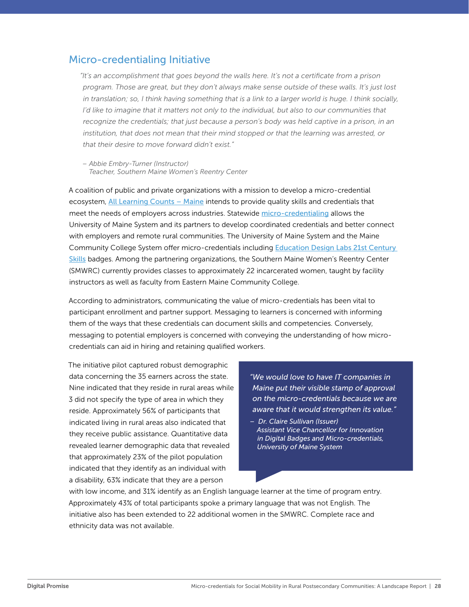## Micro-credentialing Initiative

*"It's an accomplishment that goes beyond the walls here. It's not a certificate from a prison program. Those are great, but they don't always make sense outside of these walls. It's just lost in translation; so, I think having something that is a link to a larger world is huge. I think socially, I'd like to imagine that it matters not only to the individual, but also to our communities that recognize the credentials; that just because a person's body was held captive in a prison, in an institution, that does not mean that their mind stopped or that the learning was arrested, or that their desire to move forward didn't exist."*

*– Abbie Embry-Turner (Instructor) Teacher, Southern Maine Women's Reentry Center*

A coalition of public and private organizations with a mission to develop a micro-credential ecosystem, [All Learning Counts – Maine](https://www.maine.edu/blog/2019/10/04/university-maine-system-receives-350000-grant-lumina-foundation-apply-learning-toward-degrees-credentials/) intends to provide quality skills and credentials that meet the needs of employers across industries. Statewide [micro-credentialing](https://www.maine.edu/student-success/micro-credentials/) allows the University of Maine System and its partners to develop coordinated credentials and better connect with employers and remote rural communities. The University of Maine System and the Maine Community College System offer micro-credentials including [Education Design Labs 21st Century](https://www.maine.edu/student-success/micro-credentials/21st-century-skill-badges/)  [Skills](https://www.maine.edu/student-success/micro-credentials/21st-century-skill-badges/) badges. Among the partnering organizations, the Southern Maine Women's Reentry Center (SMWRC) currently provides classes to approximately 22 incarcerated women, taught by facility instructors as well as faculty from Eastern Maine Community College.

According to administrators, communicating the value of micro-credentials has been vital to participant enrollment and partner support. Messaging to learners is concerned with informing them of the ways that these credentials can document skills and competencies. Conversely, messaging to potential employers is concerned with conveying the understanding of how microcredentials can aid in hiring and retaining qualified workers.

The initiative pilot captured robust demographic data concerning the 35 earners across the state. Nine indicated that they reside in rural areas while 3 did not specify the type of area in which they reside. Approximately 56% of participants that indicated living in rural areas also indicated that they receive public assistance. Quantitative data revealed learner demographic data that revealed that approximately 23% of the pilot population indicated that they identify as an individual with a disability, 63% indicate that they are a person

*"We would love to have IT companies in Maine put their visible stamp of approval on the micro-credentials because we are aware that it would strengthen its value."*

*– Dr. Claire Sullivan (Issuer) Assistant Vice Chancellor for Innovation in Digital Badges and Micro-credentials, University of Maine System*

with low income, and 31% identify as an English language learner at the time of program entry. Approximately 43% of total participants spoke a primary language that was not English. The initiative also has been extended to 22 additional women in the SMWRC. Complete race and ethnicity data was not available.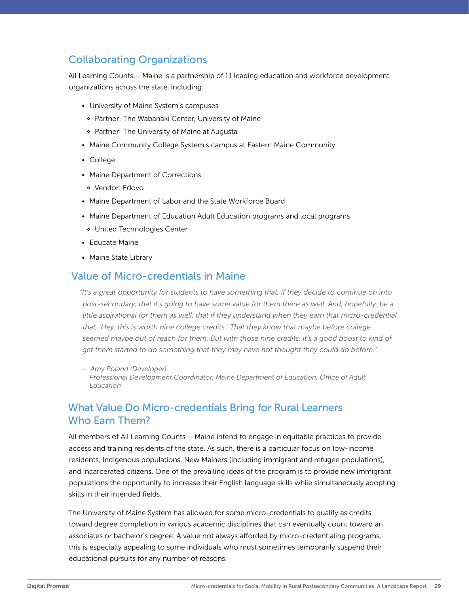# Collaborating Organizations

All Learning Counts – Maine is a partnership of 11 leading education and workforce development organizations across the state, including:

- University of Maine System's campuses
	- ° Partner: The Wabanaki Center, University of Maine
	- ° Partner: The University of Maine at Augusta
- Maine Community College System's campus at Eastern Maine Community
- College
- Maine Department of Corrections
	- ° Vendor: Edovo
- Maine Department of Labor and the State Workforce Board
- Maine Department of Education Adult Education programs and local programs
	- ° United Technologies Center
- Educate Maine
- Maine State Library

### Value of Micro-credentials in Maine

*"It's a great opportunity for students to have something that, if they decide to continue on into post-secondary, that it's going to have some value for them there as well. And, hopefully, be a*  little aspirational for them as well, that if they understand when they earn that micro-credential *that, 'Hey, this is worth nine college credits.' That they know that maybe before college*  seemed maybe out of reach for them. But with those nine credits, it's a good boost to kind of *get them started to do something that they may have not thought they could do before."*

*– Amy Poland (Developer) Professional Development Coordinator, Maine Department of Education, Office of Adult Education*

# What Value Do Micro-credentials Bring for Rural Learners Who Earn Them?

All members of All Learning Counts – Maine intend to engage in equitable practices to provide access and training residents of the state. As such, there is a particular focus on low-income residents, Indigenous populations, New Mainers (including immigrant and refugee populations), and incarcerated citizens. One of the prevailing ideas of the program is to provide new immigrant populations the opportunity to increase their English language skills while simultaneously adopting skills in their intended fields.

The University of Maine System has allowed for some micro-credentials to qualify as credits toward degree completion in various academic disciplines that can eventually count toward an associates or bachelor's degree. A value not always afforded by micro-credentialing programs, this is especially appealing to some individuals who must sometimes temporarily suspend their educational pursuits for any number of reasons.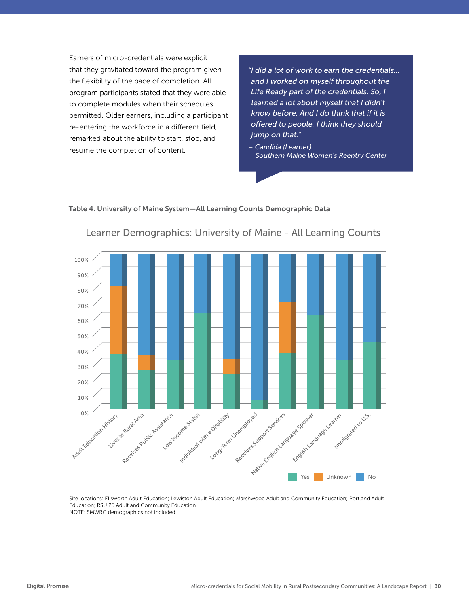Earners of micro-credentials were explicit that they gravitated toward the program given the flexibility of the pace of completion. All the flexibility of the pace of completion. All **and I worked on myself throughout the**<br>program participants stated that they were able **Life Ready part of the credentials. So, I** to complete modules when their schedules to complete modules when their schedules<br>permitted. Older earners, including a participant re-entering the workforce in a different field, remarked about the ability to start, stop, and resume the completion of content.

*"I did a lot of work to earn the credentials... and I worked on myself throughout the Life Ready part of the credentials. So, I learned a lot about myself that I didn't know before. And I do think that if it is offered to people, I think they should jump on that."*

small and add more to each column  $\mathcal{L}$  and  $\mathcal{L}$  and  $\mathcal{L}$  and  $\mathcal{L}$  is  $\mathcal{L}$ 

*– Candida (Learner) Southern Maine Women's Reentry Center*

#### Table 4. University of Maine System—All Learning Counts Demographic Data



#### Learner Demographics: University of Maine - All Learning Counts

Site locations: Ellsworth Adult Education; Lewiston Adult Education; Marshwood Adult and Community Education; Portland Adult Education; RSU 25 Adult and Community Education NOTE: SMWRC demographics not included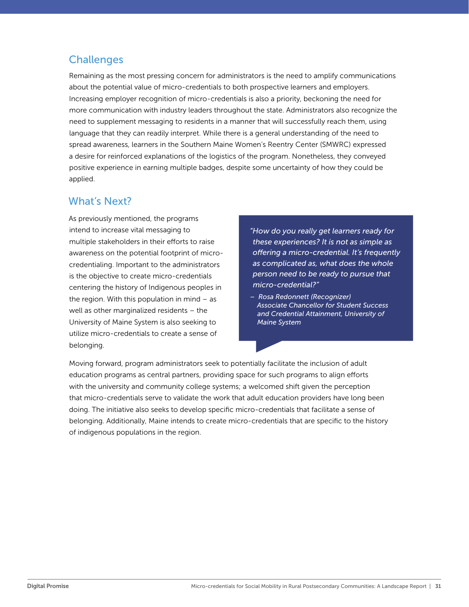# **Challenges**

Remaining as the most pressing concern for administrators is the need to amplify communications about the potential value of micro-credentials to both prospective learners and employers. Increasing employer recognition of micro-credentials is also a priority, beckoning the need for more communication with industry leaders throughout the state. Administrators also recognize the need to supplement messaging to residents in a manner that will successfully reach them, using language that they can readily interpret. While there is a general understanding of the need to spread awareness, learners in the Southern Maine Women's Reentry Center (SMWRC) expressed a desire for reinforced explanations of the logistics of the program. Nonetheless, they conveyed positive experience in earning multiple badges, despite some uncertainty of how they could be applied.

# What's Next?

As previously mentioned, the programs intend to increase vital messaging to multiple stakeholders in their efforts to raise awareness on the potential footprint of microcredentialing. Important to the administrators is the objective to create micro-credentials centering the history of Indigenous peoples in the region. With this population in mind  $-$  as well as other marginalized residents – the University of Maine System is also seeking to utilize micro-credentials to create a sense of belonging.

- *"How do you really get learners ready for these experiences? It is not as simple as offering a micro-credential. It's frequently as complicated as, what does the whole person need to be ready to pursue that micro-credential?"*
- *Rosa Redonnett (Recognizer) Associate Chancellor for Student Success and Credential Attainment, University of Maine System*

Moving forward, program administrators seek to potentially facilitate the inclusion of adult education programs as central partners, providing space for such programs to align efforts with the university and community college systems; a welcomed shift given the perception that micro-credentials serve to validate the work that adult education providers have long been doing. The initiative also seeks to develop specific micro-credentials that facilitate a sense of belonging. Additionally, Maine intends to create micro-credentials that are specific to the history of indigenous populations in the region.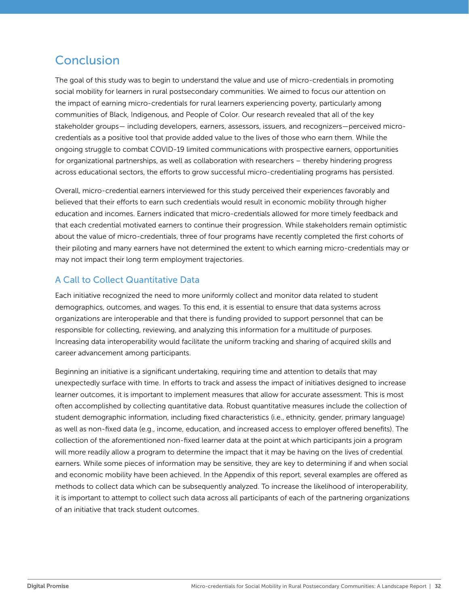# <span id="page-31-0"></span>Conclusion

The goal of this study was to begin to understand the value and use of micro-credentials in promoting social mobility for learners in rural postsecondary communities. We aimed to focus our attention on the impact of earning micro-credentials for rural learners experiencing poverty, particularly among communities of Black, Indigenous, and People of Color. Our research revealed that all of the key stakeholder groups— including developers, earners, assessors, issuers, and recognizers—perceived microcredentials as a positive tool that provide added value to the lives of those who earn them. While the ongoing struggle to combat COVID-19 limited communications with prospective earners, opportunities for organizational partnerships, as well as collaboration with researchers – thereby hindering progress across educational sectors, the efforts to grow successful micro-credentialing programs has persisted.

Overall, micro-credential earners interviewed for this study perceived their experiences favorably and believed that their efforts to earn such credentials would result in economic mobility through higher education and incomes. Earners indicated that micro-credentials allowed for more timely feedback and that each credential motivated earners to continue their progression. While stakeholders remain optimistic about the value of micro-credentials, three of four programs have recently completed the first cohorts of their piloting and many earners have not determined the extent to which earning micro-credentials may or may not impact their long term employment trajectories.

### A Call to Collect Quantitative Data

Each initiative recognized the need to more uniformly collect and monitor data related to student demographics, outcomes, and wages. To this end, it is essential to ensure that data systems across organizations are interoperable and that there is funding provided to support personnel that can be responsible for collecting, reviewing, and analyzing this information for a multitude of purposes. Increasing data interoperability would facilitate the uniform tracking and sharing of acquired skills and career advancement among participants.

Beginning an initiative is a significant undertaking, requiring time and attention to details that may unexpectedly surface with time. In efforts to track and assess the impact of initiatives designed to increase learner outcomes, it is important to implement measures that allow for accurate assessment. This is most often accomplished by collecting quantitative data. Robust quantitative measures include the collection of student demographic information, including fixed characteristics (i.e., ethnicity, gender, primary language) as well as non-fixed data (e.g., income, education, and increased access to employer offered benefits). The collection of the aforementioned non-fixed learner data at the point at which participants join a program will more readily allow a program to determine the impact that it may be having on the lives of credential earners. While some pieces of information may be sensitive, they are key to determining if and when social and economic mobility have been achieved. In the Appendix of this report, several examples are offered as methods to collect data which can be subsequently analyzed. To increase the likelihood of interoperability, it is important to attempt to collect such data across all participants of each of the partnering organizations of an initiative that track student outcomes.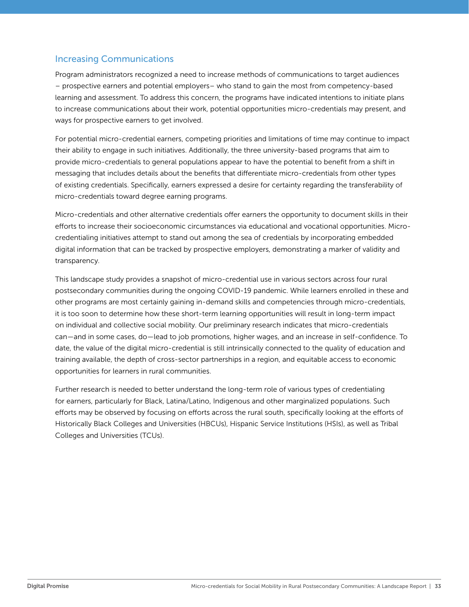### Increasing Communications

Program administrators recognized a need to increase methods of communications to target audiences – prospective earners and potential employers– who stand to gain the most from competency-based learning and assessment. To address this concern, the programs have indicated intentions to initiate plans to increase communications about their work, potential opportunities micro-credentials may present, and ways for prospective earners to get involved.

For potential micro-credential earners, competing priorities and limitations of time may continue to impact their ability to engage in such initiatives. Additionally, the three university-based programs that aim to provide micro-credentials to general populations appear to have the potential to benefit from a shift in messaging that includes details about the benefits that differentiate micro-credentials from other types of existing credentials. Specifically, earners expressed a desire for certainty regarding the transferability of micro-credentials toward degree earning programs.

Micro-credentials and other alternative credentials offer earners the opportunity to document skills in their efforts to increase their socioeconomic circumstances via educational and vocational opportunities. Microcredentialing initiatives attempt to stand out among the sea of credentials by incorporating embedded digital information that can be tracked by prospective employers, demonstrating a marker of validity and transparency.

This landscape study provides a snapshot of micro-credential use in various sectors across four rural postsecondary communities during the ongoing COVID-19 pandemic. While learners enrolled in these and other programs are most certainly gaining in-demand skills and competencies through micro-credentials, it is too soon to determine how these short-term learning opportunities will result in long-term impact on individual and collective social mobility. Our preliminary research indicates that micro-credentials can—and in some cases, do—lead to job promotions, higher wages, and an increase in self-confidence. To date, the value of the digital micro-credential is still intrinsically connected to the quality of education and training available, the depth of cross-sector partnerships in a region, and equitable access to economic opportunities for learners in rural communities.

Further research is needed to better understand the long-term role of various types of credentialing for earners, particularly for Black, Latina/Latino, Indigenous and other marginalized populations. Such efforts may be observed by focusing on efforts across the rural south, specifically looking at the efforts of Historically Black Colleges and Universities (HBCUs), Hispanic Service Institutions (HSIs), as well as Tribal Colleges and Universities (TCUs).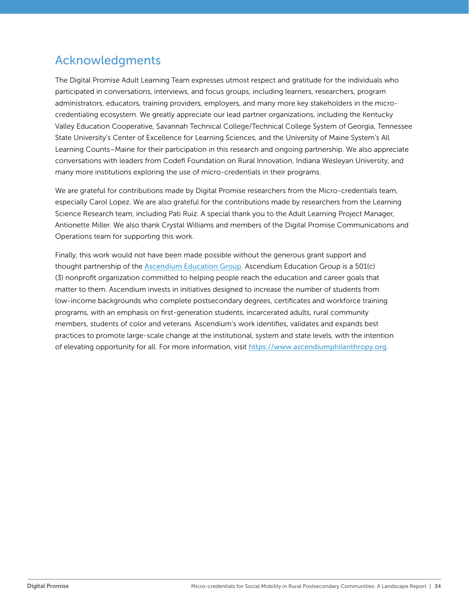# <span id="page-33-0"></span>Acknowledgments

The Digital Promise Adult Learning Team expresses utmost respect and gratitude for the individuals who participated in conversations, interviews, and focus groups, including learners, researchers, program administrators, educators, training providers, employers, and many more key stakeholders in the microcredentialing ecosystem. We greatly appreciate our lead partner organizations, including the Kentucky Valley Education Cooperative, Savannah Technical College/Technical College System of Georgia, Tennessee State University's Center of Excellence for Learning Sciences, and the University of Maine System's All Learning Counts–Maine for their participation in this research and ongoing partnership. We also appreciate conversations with leaders from Codefi Foundation on Rural Innovation, Indiana Wesleyan University, and many more institutions exploring the use of micro-credentials in their programs.

We are grateful for contributions made by Digital Promise researchers from the Micro-credentials team, especially Carol Lopez. We are also grateful for the contributions made by researchers from the Learning Science Research team, including Pati Ruiz. A special thank you to the Adult Learning Project Manager, Antionette Miller. We also thank Crystal Williams and members of the Digital Promise Communications and Operations team for supporting this work.

Finally, this work would not have been made possible without the generous grant support and thought partnership of the [Ascendium Education Group](https://www.ascendiumphilanthropy.org/). Ascendium Education Group is a 501(c) (3) nonprofit organization committed to helping people reach the education and career goals that matter to them. Ascendium invests in initiatives designed to increase the number of students from low-income backgrounds who complete postsecondary degrees, certificates and workforce training programs, with an emphasis on first-generation students, incarcerated adults, rural community members, students of color and veterans. Ascendium's work identifies, validates and expands best practices to promote large-scale change at the institutional, system and state levels, with the intention of elevating opportunity for all. For more information, visit [https://www ascendiumphilanthropy org](https://www.ascendiumphilanthropy.org/).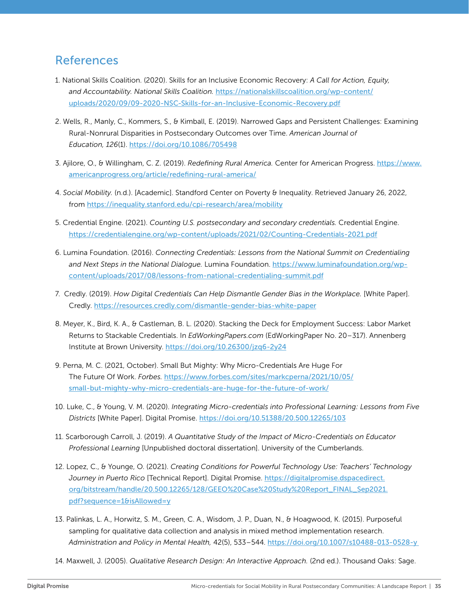# <span id="page-34-0"></span>References

- [1](#page-4-0). National Skills Coalition. (2020). Skills for an Inclusive Economic Recovery: *A Call for Action, Equity, and Accountability. National Skills Coalition.* https://nationalskillscoalition.org/wp-content/ uploads/2020/09/09-2020-NSC-Skills-for-an-Inclusive-Economic-Recovery.pdf
- [2](#page-4-0). Wells, R., Manly, C., Kommers, S., & Kimball, E. (2019). Narrowed Gaps and Persistent Challenges: Examining Rural-Nonrural Disparities in Postsecondary Outcomes over Time. *American Journal of Education, 126*(1). https://doi.org/10.1086/705498
- [3](#page-4-0). Ajilore, O., & Willingham, C. Z. (2019). *Redefining Rural America.* Center for American Progress. https://www. americanprogress.org/article/redefining-rural-america/
- [4](#page-4-0). *Social Mobility.* (n.d.). [Academic]. Standford Center on Poverty & Inequality. Retrieved January 26, 2022, from https://inequality.stanford.edu/cpi-research/area/mobility
- [5](#page-5-0). Credential Engine. (2021). *Counting U.S. postsecondary and secondary credentials.* Credential Engine. https://credentialengine.org/wp-content/uploads/2021/02/Counting-Credentials-2021.pdf
- [6.](#page-5-0) Lumina Foundation. (2016). *Connecting Credentials: Lessons from the National Summit on Credentialing and Next Steps in the National Dialogue.* Lumina Foundation. https://www.luminafoundation.org/wpcontent/uploads/2017/08/lessons-from-national-credentialing-summit.pdf
- [7](#page-5-0). Credly. (2019). *How Digital Credentials Can Help Dismantle Gender Bias in the Workplace.* [White Paper]. Credly. https://resources.credly.com/dismantle-gender-bias-white-paper
- [8.](#page-6-0) Meyer, K., Bird, K. A., & Castleman, B. L. (2020). Stacking the Deck for Employment Success: Labor Market Returns to Stackable Credentials. In *EdWorkingPapers.com* (EdWorkingPaper No. 20–317). Annenberg Institute at Brown University. https://doi.org/10.26300/jzq6-2y24
- [9](#page-6-0). Perna, M. C. (2021, October). Small But Mighty: Why Micro-Credentials Are Huge For The Future Of Work. *Forbes.* https://www.forbes.com/sites/markcperna/2021/10/05/ small-but-mighty-why-micro-credentials-are-huge-for-the-future-of-work/
- [10](#page-6-0). Luke, C., & Young, V. M. (2020). *Integrating Micro-credentials into Professional Learning: Lessons from Five Districts* [White Paper]. Digital Promise. https://doi.org/10.51388/20.500.12265/103
- [11.](#page-6-0) Scarborough Carroll, J. (2019). *A Quantitative Study of the Impact of Micro-Credentials on Educator Professional Learning* [Unpublished doctoral dissertation]. University of the Cumberlands.
- [12.](#page-6-0) Lopez, C., & Younge, O. (2021). *Creating Conditions for Powerful Technology Use: Teachers' Technology Journey in Puerto Rico* [Technical Report]. Digital Promise. https://digitalpromise.dspacedirect. org/bitstream/handle/20.500.12265/128/GEEO%20Case%20Study%20Report\_FINAL\_Sep2021. pdf?sequence=1&isAllowed=y
- [13.](#page-7-0) Palinkas, L. A., Horwitz, S. M., Green, C. A., Wisdom, J. P., Duan, N., & Hoagwood, K. (2015). Purposeful sampling for qualitative data collection and analysis in mixed method implementation research. *Administration and Policy in Mental Health,* 42(5), 533–544. https://doi.org/10.1007/s10488-013-0528-y
- [14.](#page-7-0) Maxwell, J. (2005). *Qualitative Research Design: An Interactive Approach.* (2nd ed.). Thousand Oaks: Sage.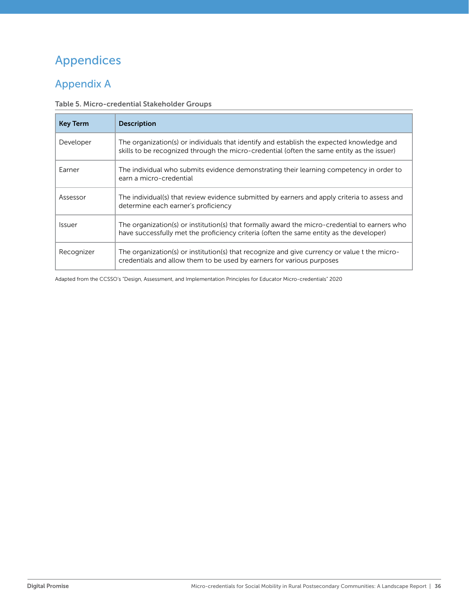# <span id="page-35-0"></span>Appendices

# Appendix A

#### Table 5. Micro-credential Stakeholder Groups

| <b>Key Term</b>             | <b>Description</b>                                                                                                                                                                       |
|-----------------------------|------------------------------------------------------------------------------------------------------------------------------------------------------------------------------------------|
| Developer                   | The organization(s) or individuals that identify and establish the expected knowledge and<br>skills to be recognized through the micro-credential (often the same entity as the issuer)  |
| Earner                      | The individual who submits evidence demonstrating their learning competency in order to<br>earn a micro-credential                                                                       |
| Assessor                    | The individual(s) that review evidence submitted by earners and apply criteria to assess and<br>determine each earner's proficiency                                                      |
| <i><u><b>Issuer</b></u></i> | The organization(s) or institution(s) that formally award the micro-credential to earners who<br>have successfully met the proficiency criteria (often the same entity as the developer) |
| Recognizer                  | The organization(s) or institution(s) that recognize and give currency or value t the micro-<br>credentials and allow them to be used by earners for various purposes                    |

Adapted from the CCSSO's "Design, Assessment, and Implementation Principles for Educator Micro-credentials" 2020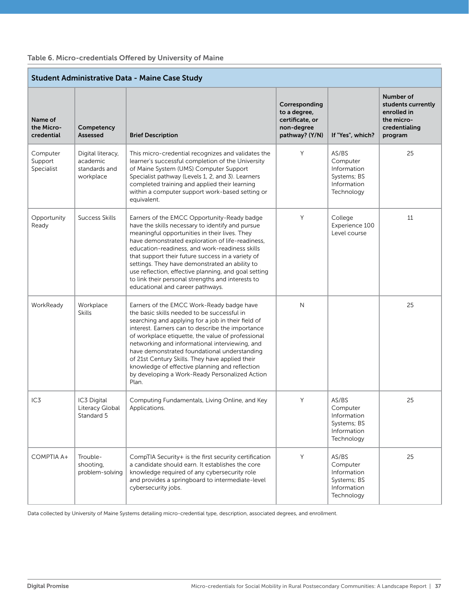| Table 6. Micro-credentials Offered by University of Maine |  |  |  |
|-----------------------------------------------------------|--|--|--|
|-----------------------------------------------------------|--|--|--|

| <b>Student Administrative Data - Maine Case Study</b> |                                                             |                                                                                                                                                                                                                                                                                                                                                                                                                                                                                                                           |                                                                                  |                                                                              |                                                                                          |
|-------------------------------------------------------|-------------------------------------------------------------|---------------------------------------------------------------------------------------------------------------------------------------------------------------------------------------------------------------------------------------------------------------------------------------------------------------------------------------------------------------------------------------------------------------------------------------------------------------------------------------------------------------------------|----------------------------------------------------------------------------------|------------------------------------------------------------------------------|------------------------------------------------------------------------------------------|
| Name of<br>the Micro-<br>credential                   | Competency<br><b>Assessed</b>                               | <b>Brief Description</b>                                                                                                                                                                                                                                                                                                                                                                                                                                                                                                  | Corresponding<br>to a degree,<br>certificate, or<br>non-degree<br>pathway? (Y/N) | If "Yes", which?                                                             | Number of<br>students currently<br>enrolled in<br>the micro-<br>credentialing<br>program |
| Computer<br>Support<br>Specialist                     | Digital literacy,<br>academic<br>standards and<br>workplace | This micro-credential recognizes and validates the<br>learner's successful completion of the University<br>of Maine System (UMS) Computer Support<br>Specialist pathway (Levels 1, 2, and 3). Learners<br>completed training and applied their learning<br>within a computer support work-based setting or<br>equivalent.                                                                                                                                                                                                 | Y                                                                                | AS/BS<br>Computer<br>Information<br>Systems; BS<br>Information<br>Technology | 25                                                                                       |
| Opportunity<br>Ready                                  | Success Skills                                              | Earners of the EMCC Opportunity-Ready badge<br>have the skills necessary to identify and pursue<br>meaningful opportunities in their lives. They<br>have demonstrated exploration of life-readiness,<br>education-readiness, and work-readiness skills<br>that support their future success in a variety of<br>settings. They have demonstrated an ability to<br>use reflection, effective planning, and goal setting<br>to link their personal strengths and interests to<br>educational and career pathways.            | Y                                                                                | College<br>Experience 100<br>Level course                                    | 11                                                                                       |
| WorkReady                                             | Workplace<br><b>Skills</b>                                  | Earners of the EMCC Work-Ready badge have<br>the basic skills needed to be successful in<br>searching and applying for a job in their field of<br>interest. Earners can to describe the importance<br>of workplace etiquette, the value of professional<br>networking and informational interviewing, and<br>have demonstrated foundational understanding<br>of 21st Century Skills. They have applied their<br>knowledge of effective planning and reflection<br>by developing a Work-Ready Personalized Action<br>Plan. | N                                                                                |                                                                              | 25                                                                                       |
| IC3                                                   | IC3 Digital<br>Literacy Global<br>Standard 5                | Computing Fundamentals, Living Online, and Key<br>Applications.                                                                                                                                                                                                                                                                                                                                                                                                                                                           | Y                                                                                | AS/BS<br>Computer<br>Information<br>Systems; BS<br>Information<br>Technology | 25                                                                                       |
| COMPTIA A+                                            | Trouble-<br>shooting,<br>problem-solving                    | CompTIA Security+ is the first security certification<br>a candidate should earn. It establishes the core<br>knowledge required of any cybersecurity role<br>and provides a springboard to intermediate-level<br>cybersecurity jobs.                                                                                                                                                                                                                                                                                      | Y                                                                                | AS/BS<br>Computer<br>Information<br>Systems; BS<br>Information<br>Technology | 25                                                                                       |

Data collected by University of Maine Systems detailing micro-credential type, description, associated degrees, and enrollment.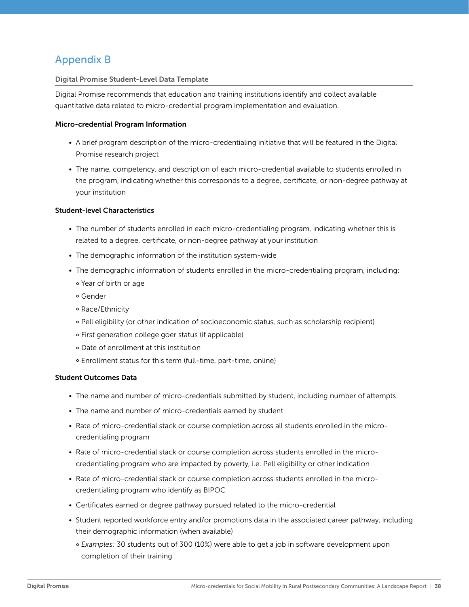# Appendix B

#### Digital Promise Student-Level Data Template

Digital Promise recommends that education and training institutions identify and collect available quantitative data related to micro-credential program implementation and evaluation.

#### Micro-credential Program Information

- A brief program description of the micro-credentialing initiative that will be featured in the Digital Promise research project
- The name, competency, and description of each micro-credential available to students enrolled in the program, indicating whether this corresponds to a degree, certificate, or non-degree pathway at your institution

#### Student-level Characteristics

- The number of students enrolled in each micro-credentialing program, indicating whether this is related to a degree, certificate, or non-degree pathway at your institution
- The demographic information of the institution system-wide
- The demographic information of students enrolled in the micro-credentialing program, including:
	- ° Year of birth or age
	- ° Gender
	- ° Race/Ethnicity
	- ° Pell eligibility (or other indication of socioeconomic status, such as scholarship recipient)
	- ° First generation college goer status (if applicable)
	- ° Date of enrollment at this institution
	- ° Enrollment status for this term (full-time, part-time, online)

#### Student Outcomes Data

- The name and number of micro-credentials submitted by student, including number of attempts
- The name and number of micro-credentials earned by student
- Rate of micro-credential stack or course completion across all students enrolled in the microcredentialing program
- Rate of micro-credential stack or course completion across students enrolled in the microcredentialing program who are impacted by poverty, i.e. Pell eligibility or other indication
- Rate of micro-credential stack or course completion across students enrolled in the microcredentialing program who identify as BIPOC
- Certificates earned or degree pathway pursued related to the micro-credential
- Student reported workforce entry and/or promotions data in the associated career pathway, including their demographic information (when available)
	- ° *Examples:* 30 students out of 300 (10%) were able to get a job in software development upon completion of their training